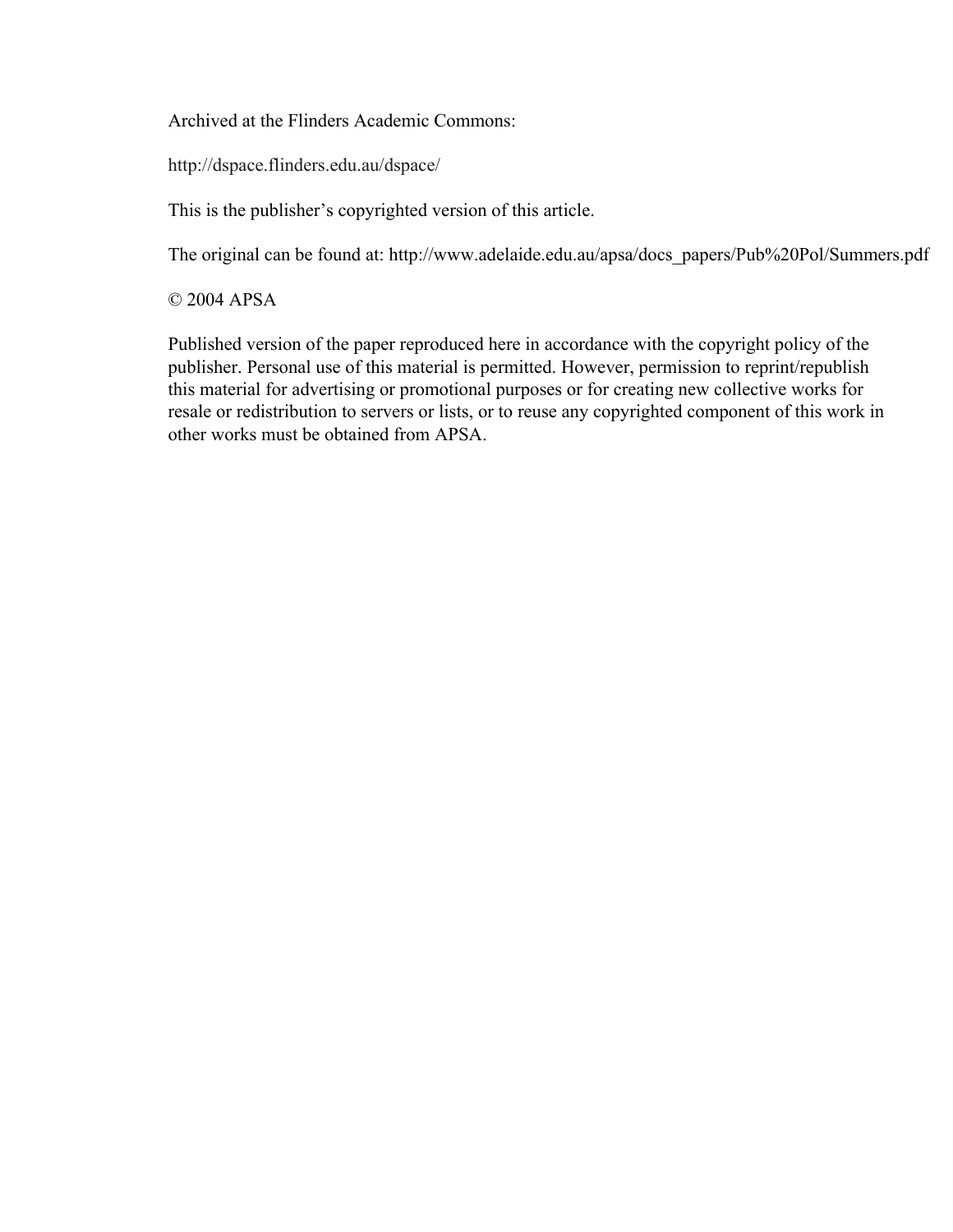Archived at the Flinders Academic Commons:

http://dspace.flinders.edu.au/dspace/

This is the publisher's copyrighted version of this article.

The original can be found at: http://www.adelaide.edu.au/apsa/docs\_papers/Pub%20Pol/Summers.pdf

© 2004 APSA

Published version of the paper reproduced here in accordance with the copyright policy of the publisher. Personal use of this material is permitted. However, permission to reprint/republish this material for advertising or promotional purposes or for creating new collective works for resale or redistribution to servers or lists, or to reuse any copyrighted component of this work in other works must be obtained from APSA.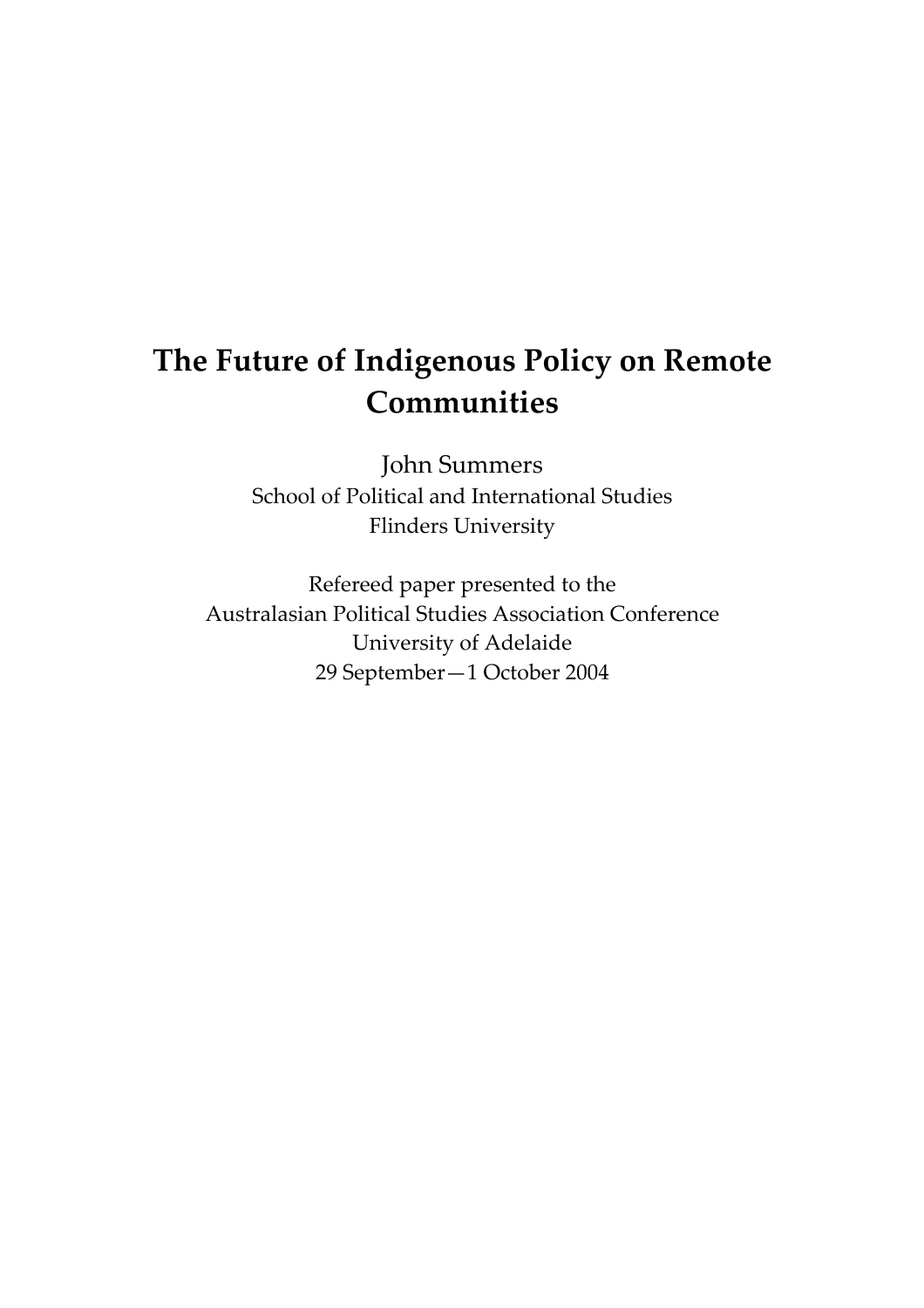# **The Future of Indigenous Policy on Remote Communities**

John Summers School of Political and International Studies Flinders University

Refereed paper presented to the Australasian Political Studies Association Conference University of Adelaide 29 September—1 October 2004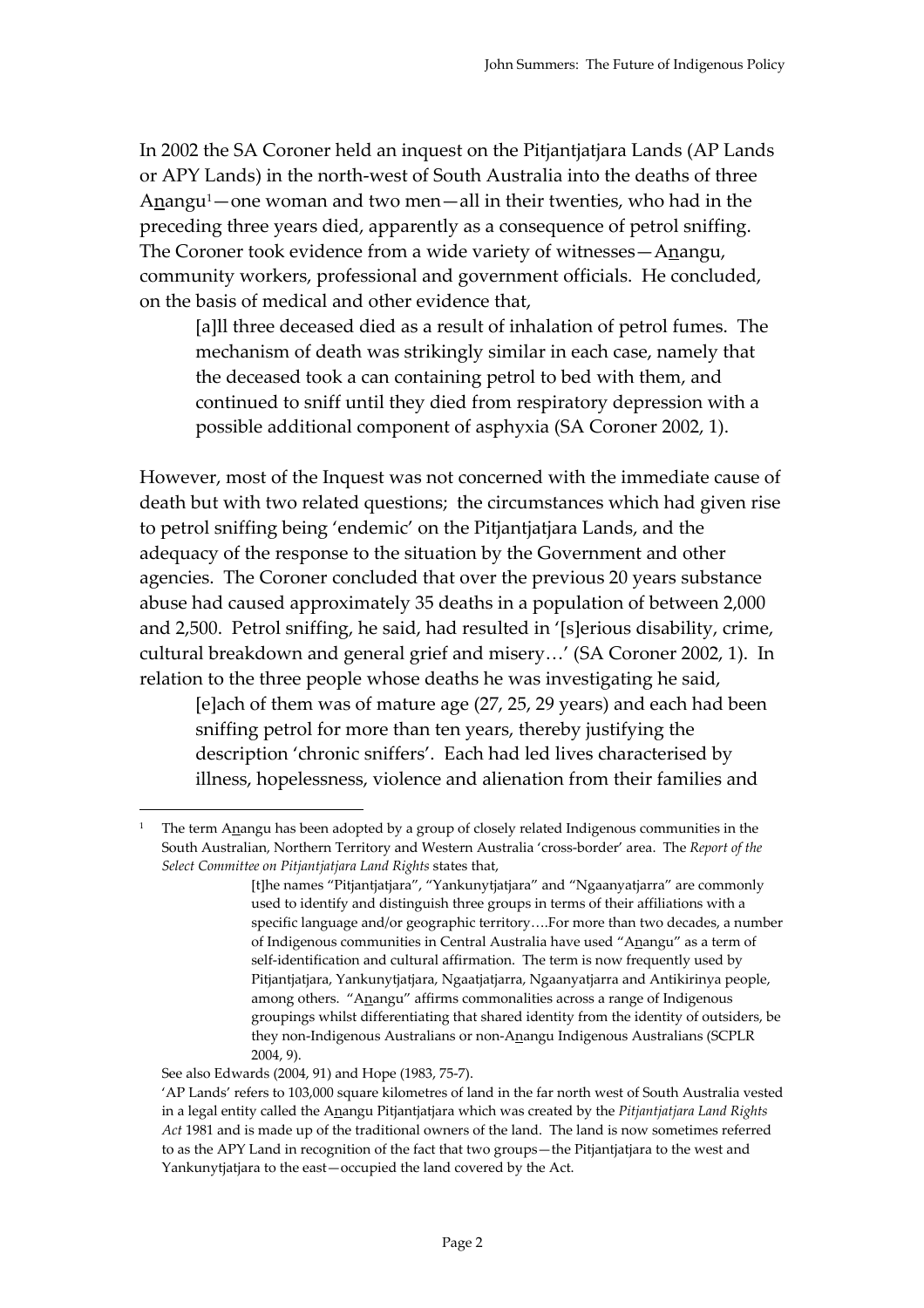In 2002 the SA Coroner held an inquest on the Pitjantjatjara Lands (AP Lands or APY Lands) in the north-west of South Australia into the deaths of three Anangu<sup>1</sup>—one woman and two men—all in their twenties, who had in the preceding three years died, apparently as a consequence of petrol sniffing. The Coroner took evidence from a wide variety of witnesses—Anangu, community workers, professional and government officials. He concluded, on the basis of medical and other evidence that,

[a]ll three deceased died as a result of inhalation of petrol fumes. The mechanism of death was strikingly similar in each case, namely that the deceased took a can containing petrol to bed with them, and continued to sniff until they died from respiratory depression with a possible additional component of asphyxia (SA Coroner 2002, 1).

However, most of the Inquest was not concerned with the immediate cause of death but with two related questions; the circumstances which had given rise to petrol sniffing being 'endemic' on the Pitjantjatjara Lands, and the adequacy of the response to the situation by the Government and other agencies. The Coroner concluded that over the previous 20 years substance abuse had caused approximately 35 deaths in a population of between 2,000 and 2,500. Petrol sniffing, he said, had resulted in '[s]erious disability, crime, cultural breakdown and general grief and misery…' (SA Coroner 2002, 1). In relation to the three people whose deaths he was investigating he said,

[e]ach of them was of mature age (27, 25, 29 years) and each had been sniffing petrol for more than ten years, thereby justifying the description 'chronic sniffers'. Each had led lives characterised by illness, hopelessness, violence and alienation from their families and

 $\overline{a}$ 

<sup>&</sup>lt;sup>1</sup> The term Anangu has been adopted by a group of closely related Indigenous communities in the South Australian, Northern Territory and Western Australia 'cross-border' area. The *Report of the Select Committee on Pitjantjatjara Land Rights* states that,

<sup>[</sup>t]he names "Pitjantjatjara", "Yankunytjatjara" and "Ngaanyatjarra" are commonly used to identify and distinguish three groups in terms of their affiliations with a specific language and/or geographic territory….For more than two decades, a number of Indigenous communities in Central Australia have used "Anangu" as a term of self-identification and cultural affirmation. The term is now frequently used by Pitjantjatjara, Yankunytjatjara, Ngaatjatjarra, Ngaanyatjarra and Antikirinya people, among others. "Anangu" affirms commonalities across a range of Indigenous groupings whilst differentiating that shared identity from the identity of outsiders, be they non-Indigenous Australians or non-Anangu Indigenous Australians (SCPLR 2004, 9).

See also Edwards (2004, 91) and Hope (1983, 75-7).

 <sup>&#</sup>x27;AP Lands' refers to 103,000 square kilometres of land in the far north west of South Australia vested in a legal entity called the Anangu Pitjantjatjara which was created by the *Pitjantjatjara Land Rights Act* 1981 and is made up of the traditional owners of the land. The land is now sometimes referred to as the APY Land in recognition of the fact that two groups—the Pitjantjatjara to the west and Yankunytjatjara to the east—occupied the land covered by the Act.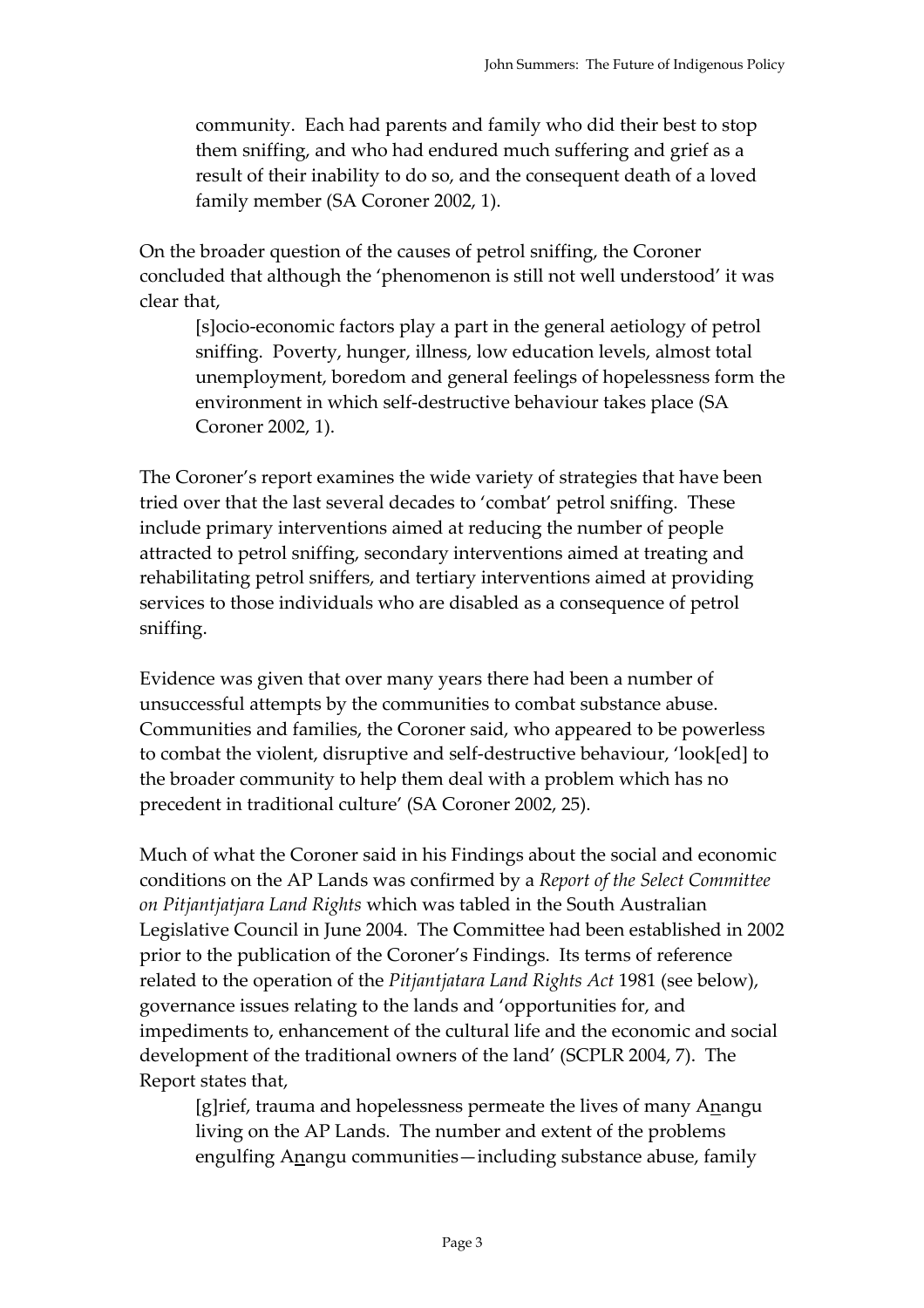community. Each had parents and family who did their best to stop them sniffing, and who had endured much suffering and grief as a result of their inability to do so, and the consequent death of a loved family member (SA Coroner 2002, 1).

On the broader question of the causes of petrol sniffing, the Coroner concluded that although the 'phenomenon is still not well understood' it was clear that,

[s]ocio-economic factors play a part in the general aetiology of petrol sniffing. Poverty, hunger, illness, low education levels, almost total unemployment, boredom and general feelings of hopelessness form the environment in which self-destructive behaviour takes place (SA Coroner 2002, 1).

The Coroner's report examines the wide variety of strategies that have been tried over that the last several decades to 'combat' petrol sniffing. These include primary interventions aimed at reducing the number of people attracted to petrol sniffing, secondary interventions aimed at treating and rehabilitating petrol sniffers, and tertiary interventions aimed at providing services to those individuals who are disabled as a consequence of petrol sniffing.

Evidence was given that over many years there had been a number of unsuccessful attempts by the communities to combat substance abuse. Communities and families, the Coroner said, who appeared to be powerless to combat the violent, disruptive and self-destructive behaviour, 'look[ed] to the broader community to help them deal with a problem which has no precedent in traditional culture' (SA Coroner 2002, 25).

Much of what the Coroner said in his Findings about the social and economic conditions on the AP Lands was confirmed by a *Report of the Select Committee on Pitjantjatjara Land Rights* which was tabled in the South Australian Legislative Council in June 2004. The Committee had been established in 2002 prior to the publication of the Coroner's Findings. Its terms of reference related to the operation of the *Pitjantjatara Land Rights Act* 1981 (see below), governance issues relating to the lands and 'opportunities for, and impediments to, enhancement of the cultural life and the economic and social development of the traditional owners of the land' (SCPLR 2004, 7). The Report states that,

[g]rief, trauma and hopelessness permeate the lives of many Anangu living on the AP Lands. The number and extent of the problems engulfing Anangu communities—including substance abuse, family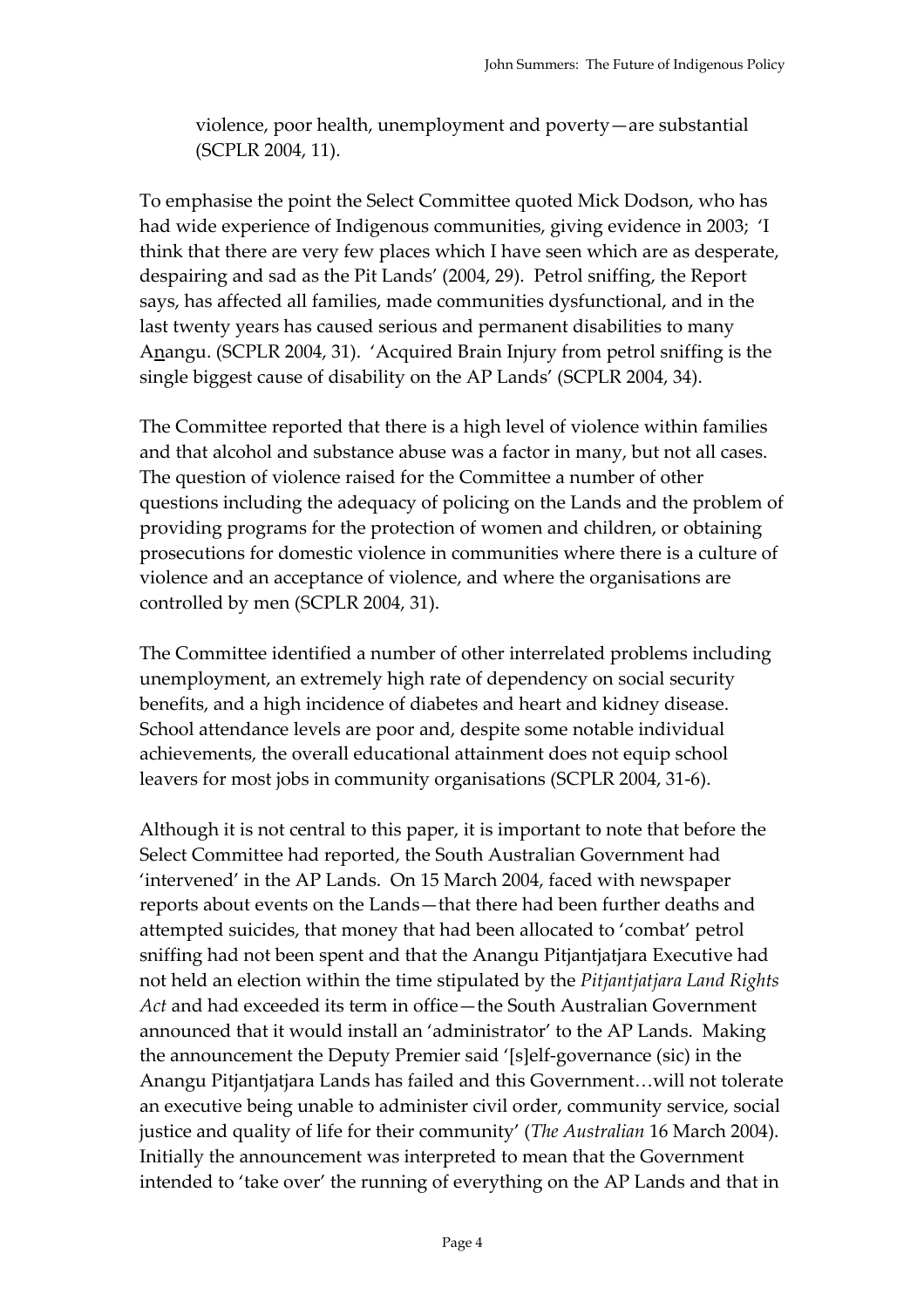violence, poor health, unemployment and poverty—are substantial (SCPLR 2004, 11).

To emphasise the point the Select Committee quoted Mick Dodson, who has had wide experience of Indigenous communities, giving evidence in 2003; 'I think that there are very few places which I have seen which are as desperate, despairing and sad as the Pit Lands' (2004, 29). Petrol sniffing, the Report says, has affected all families, made communities dysfunctional, and in the last twenty years has caused serious and permanent disabilities to many Anangu. (SCPLR 2004, 31). 'Acquired Brain Injury from petrol sniffing is the single biggest cause of disability on the AP Lands' (SCPLR 2004, 34).

The Committee reported that there is a high level of violence within families and that alcohol and substance abuse was a factor in many, but not all cases. The question of violence raised for the Committee a number of other questions including the adequacy of policing on the Lands and the problem of providing programs for the protection of women and children, or obtaining prosecutions for domestic violence in communities where there is a culture of violence and an acceptance of violence, and where the organisations are controlled by men (SCPLR 2004, 31).

The Committee identified a number of other interrelated problems including unemployment, an extremely high rate of dependency on social security benefits, and a high incidence of diabetes and heart and kidney disease. School attendance levels are poor and, despite some notable individual achievements, the overall educational attainment does not equip school leavers for most jobs in community organisations (SCPLR 2004, 31-6).

Although it is not central to this paper, it is important to note that before the Select Committee had reported, the South Australian Government had 'intervened' in the AP Lands. On 15 March 2004, faced with newspaper reports about events on the Lands—that there had been further deaths and attempted suicides, that money that had been allocated to 'combat' petrol sniffing had not been spent and that the Anangu Pitjantjatjara Executive had not held an election within the time stipulated by the *Pitjantjatjara Land Rights Act* and had exceeded its term in office—the South Australian Government announced that it would install an 'administrator' to the AP Lands. Making the announcement the Deputy Premier said '[s]elf-governance (sic) in the Anangu Pitjantjatjara Lands has failed and this Government…will not tolerate an executive being unable to administer civil order, community service, social justice and quality of life for their community' (*The Australian* 16 March 2004). Initially the announcement was interpreted to mean that the Government intended to 'take over' the running of everything on the AP Lands and that in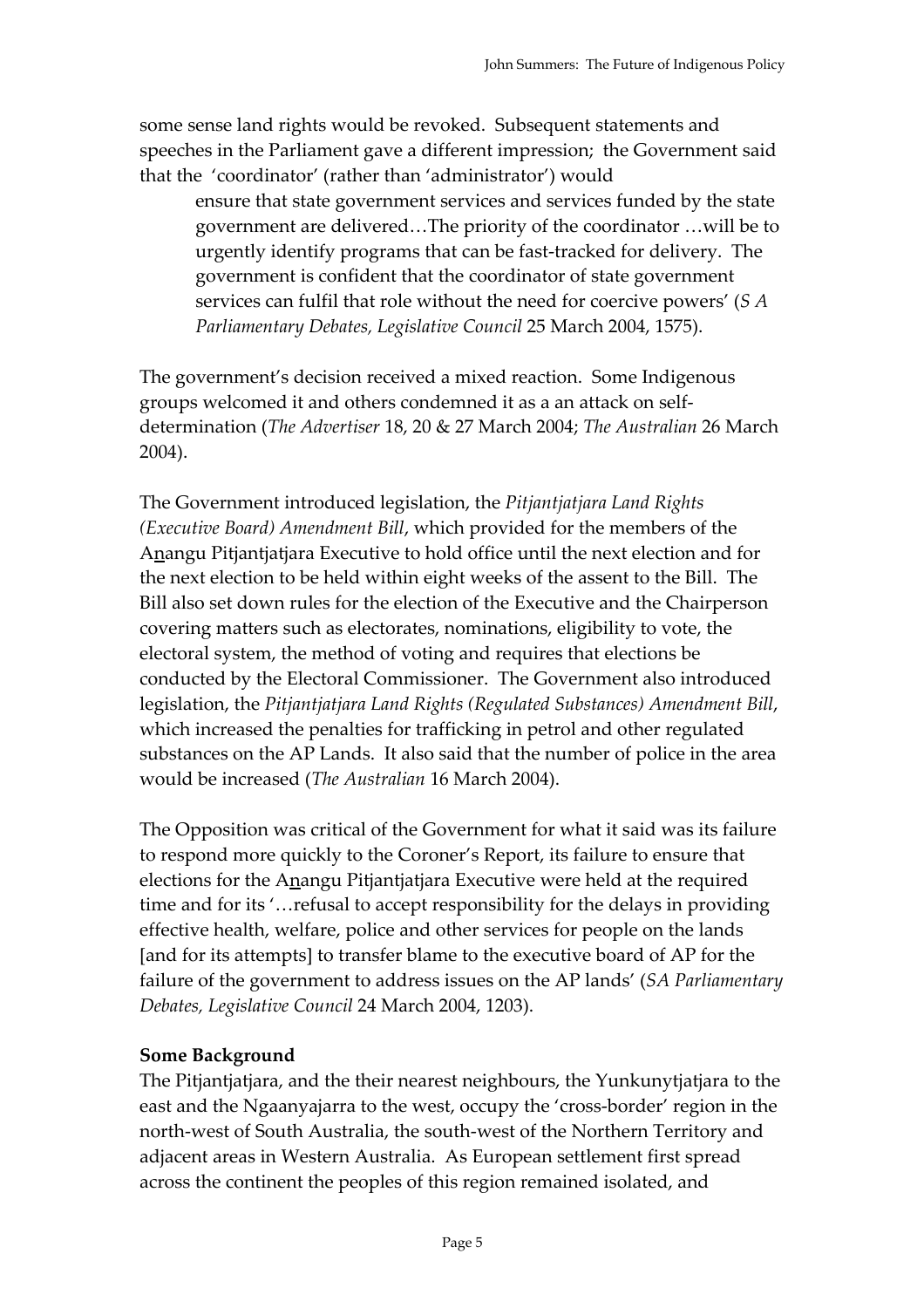some sense land rights would be revoked. Subsequent statements and speeches in the Parliament gave a different impression; the Government said that the 'coordinator' (rather than 'administrator') would

ensure that state government services and services funded by the state government are delivered…The priority of the coordinator …will be to urgently identify programs that can be fast-tracked for delivery. The government is confident that the coordinator of state government services can fulfil that role without the need for coercive powers' (*S A Parliamentary Debates, Legislative Council* 25 March 2004, 1575).

The government's decision received a mixed reaction. Some Indigenous groups welcomed it and others condemned it as a an attack on selfdetermination (*The Advertiser* 18, 20 & 27 March 2004; *The Australian* 26 March 2004).

The Government introduced legislation, the *Pitjantjatjara Land Rights (Executive Board) Amendment Bill*, which provided for the members of the Anangu Pitjantjatjara Executive to hold office until the next election and for the next election to be held within eight weeks of the assent to the Bill. The Bill also set down rules for the election of the Executive and the Chairperson covering matters such as electorates, nominations, eligibility to vote, the electoral system, the method of voting and requires that elections be conducted by the Electoral Commissioner. The Government also introduced legislation, the *Pitjantjatjara Land Rights (Regulated Substances) Amendment Bill*, which increased the penalties for trafficking in petrol and other regulated substances on the AP Lands. It also said that the number of police in the area would be increased (*The Australian* 16 March 2004).

The Opposition was critical of the Government for what it said was its failure to respond more quickly to the Coroner's Report, its failure to ensure that elections for the Anangu Pitjantjatjara Executive were held at the required time and for its '…refusal to accept responsibility for the delays in providing effective health, welfare, police and other services for people on the lands [and for its attempts] to transfer blame to the executive board of AP for the failure of the government to address issues on the AP lands' (*SA Parliamentary Debates, Legislative Council* 24 March 2004, 1203).

## **Some Background**

The Pitjantjatjara, and the their nearest neighbours, the Yunkunytjatjara to the east and the Ngaanyajarra to the west, occupy the 'cross-border' region in the north-west of South Australia, the south-west of the Northern Territory and adjacent areas in Western Australia. As European settlement first spread across the continent the peoples of this region remained isolated, and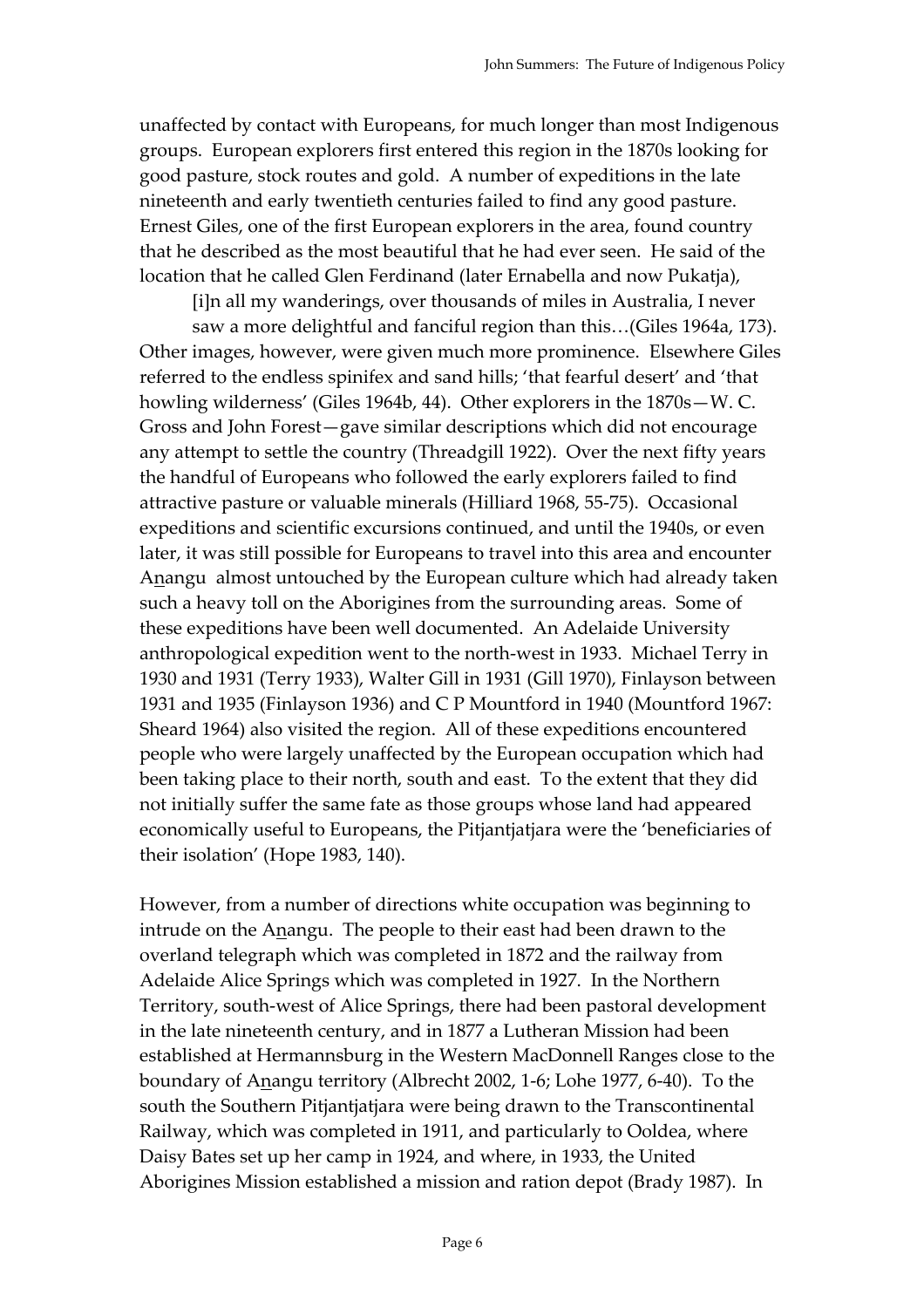unaffected by contact with Europeans, for much longer than most Indigenous groups. European explorers first entered this region in the 1870s looking for good pasture, stock routes and gold. A number of expeditions in the late nineteenth and early twentieth centuries failed to find any good pasture. Ernest Giles, one of the first European explorers in the area, found country that he described as the most beautiful that he had ever seen. He said of the location that he called Glen Ferdinand (later Ernabella and now Pukatja),

[i]n all my wanderings, over thousands of miles in Australia, I never

saw a more delightful and fanciful region than this…(Giles 1964a, 173). Other images, however, were given much more prominence. Elsewhere Giles referred to the endless spinifex and sand hills; 'that fearful desert' and 'that howling wilderness' (Giles 1964b, 44). Other explorers in the 1870s—W. C. Gross and John Forest—gave similar descriptions which did not encourage any attempt to settle the country (Threadgill 1922). Over the next fifty years the handful of Europeans who followed the early explorers failed to find attractive pasture or valuable minerals (Hilliard 1968, 55-75). Occasional expeditions and scientific excursions continued, and until the 1940s, or even later, it was still possible for Europeans to travel into this area and encounter Anangu almost untouched by the European culture which had already taken such a heavy toll on the Aborigines from the surrounding areas. Some of these expeditions have been well documented. An Adelaide University anthropological expedition went to the north-west in 1933. Michael Terry in 1930 and 1931 (Terry 1933), Walter Gill in 1931 (Gill 1970), Finlayson between 1931 and 1935 (Finlayson 1936) and C P Mountford in 1940 (Mountford 1967: Sheard 1964) also visited the region. All of these expeditions encountered people who were largely unaffected by the European occupation which had been taking place to their north, south and east. To the extent that they did not initially suffer the same fate as those groups whose land had appeared economically useful to Europeans, the Pitjantjatjara were the 'beneficiaries of their isolation' (Hope 1983, 140).

However, from a number of directions white occupation was beginning to intrude on the Anangu. The people to their east had been drawn to the overland telegraph which was completed in 1872 and the railway from Adelaide Alice Springs which was completed in 1927. In the Northern Territory, south-west of Alice Springs, there had been pastoral development in the late nineteenth century, and in 1877 a Lutheran Mission had been established at Hermannsburg in the Western MacDonnell Ranges close to the boundary of Anangu territory (Albrecht 2002, 1-6; Lohe 1977, 6-40). To the south the Southern Pitjantjatjara were being drawn to the Transcontinental Railway, which was completed in 1911, and particularly to Ooldea, where Daisy Bates set up her camp in 1924, and where, in 1933, the United Aborigines Mission established a mission and ration depot (Brady 1987). In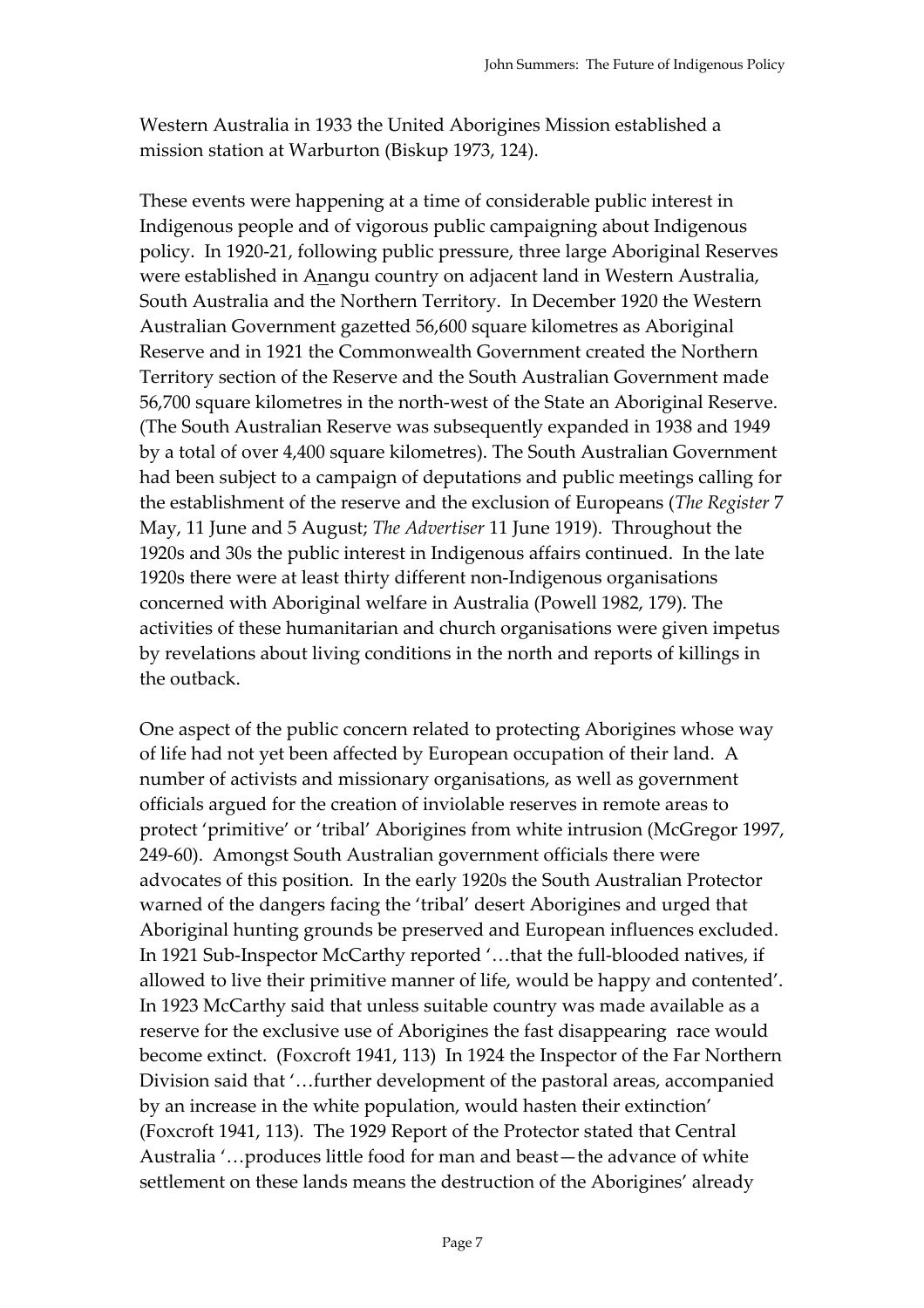Western Australia in 1933 the United Aborigines Mission established a mission station at Warburton (Biskup 1973, 124).

These events were happening at a time of considerable public interest in Indigenous people and of vigorous public campaigning about Indigenous policy. In 1920-21, following public pressure, three large Aboriginal Reserves were established in Anangu country on adjacent land in Western Australia, South Australia and the Northern Territory. In December 1920 the Western Australian Government gazetted 56,600 square kilometres as Aboriginal Reserve and in 1921 the Commonwealth Government created the Northern Territory section of the Reserve and the South Australian Government made 56,700 square kilometres in the north-west of the State an Aboriginal Reserve. (The South Australian Reserve was subsequently expanded in 1938 and 1949 by a total of over 4,400 square kilometres). The South Australian Government had been subject to a campaign of deputations and public meetings calling for the establishment of the reserve and the exclusion of Europeans (*The Register* 7 May, 11 June and 5 August; *The Advertiser* 11 June 1919). Throughout the 1920s and 30s the public interest in Indigenous affairs continued. In the late 1920s there were at least thirty different non-Indigenous organisations concerned with Aboriginal welfare in Australia (Powell 1982, 179). The activities of these humanitarian and church organisations were given impetus by revelations about living conditions in the north and reports of killings in the outback.

One aspect of the public concern related to protecting Aborigines whose way of life had not yet been affected by European occupation of their land. A number of activists and missionary organisations, as well as government officials argued for the creation of inviolable reserves in remote areas to protect 'primitive' or 'tribal' Aborigines from white intrusion (McGregor 1997, 249-60). Amongst South Australian government officials there were advocates of this position. In the early 1920s the South Australian Protector warned of the dangers facing the 'tribal' desert Aborigines and urged that Aboriginal hunting grounds be preserved and European influences excluded. In 1921 Sub-Inspector McCarthy reported '…that the full-blooded natives, if allowed to live their primitive manner of life, would be happy and contented'. In 1923 McCarthy said that unless suitable country was made available as a reserve for the exclusive use of Aborigines the fast disappearing race would become extinct. (Foxcroft 1941, 113) In 1924 the Inspector of the Far Northern Division said that '…further development of the pastoral areas, accompanied by an increase in the white population, would hasten their extinction' (Foxcroft 1941, 113). The 1929 Report of the Protector stated that Central Australia '…produces little food for man and beast—the advance of white settlement on these lands means the destruction of the Aborigines' already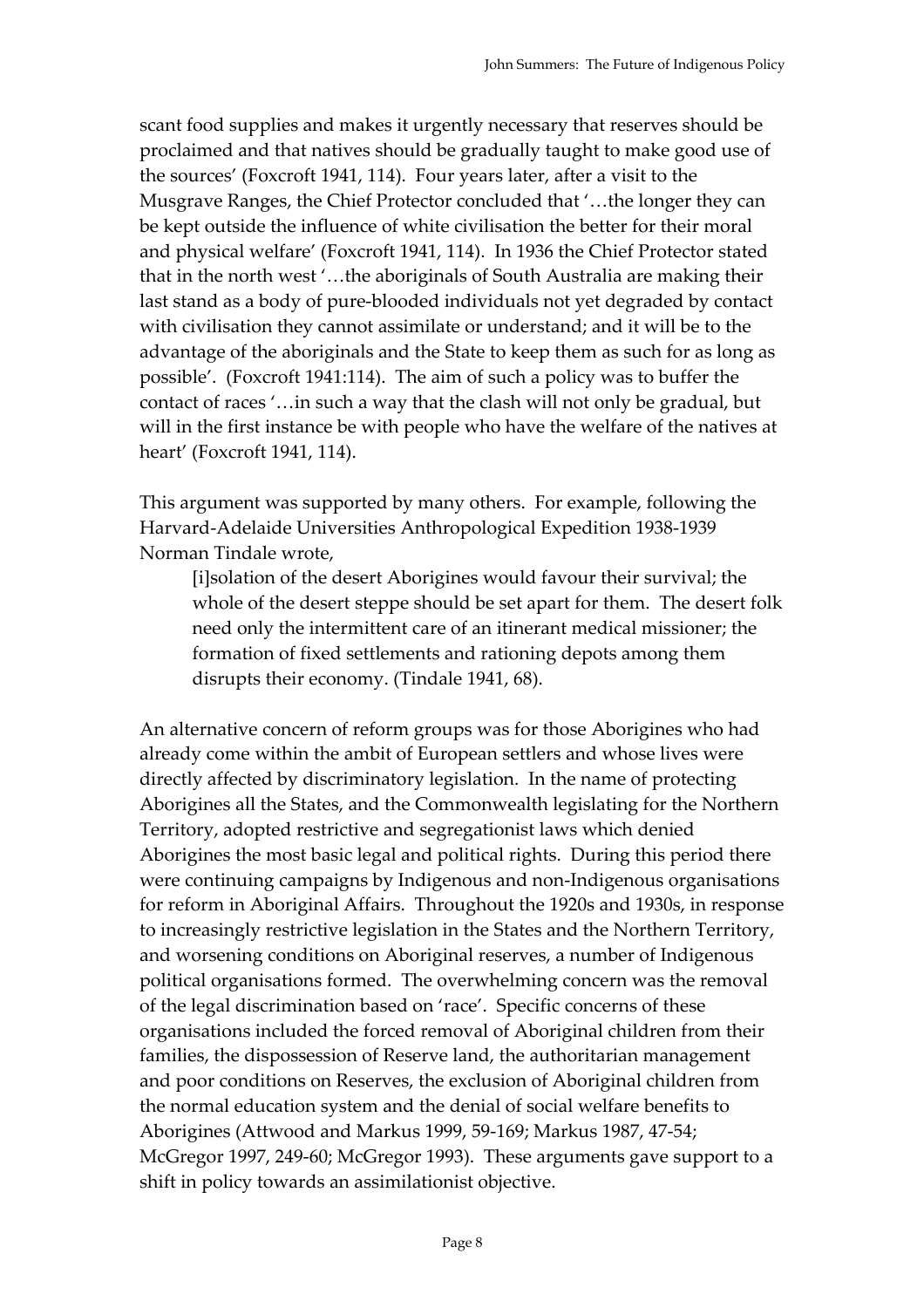scant food supplies and makes it urgently necessary that reserves should be proclaimed and that natives should be gradually taught to make good use of the sources' (Foxcroft 1941, 114). Four years later, after a visit to the Musgrave Ranges, the Chief Protector concluded that '…the longer they can be kept outside the influence of white civilisation the better for their moral and physical welfare' (Foxcroft 1941, 114). In 1936 the Chief Protector stated that in the north west '…the aboriginals of South Australia are making their last stand as a body of pure-blooded individuals not yet degraded by contact with civilisation they cannot assimilate or understand; and it will be to the advantage of the aboriginals and the State to keep them as such for as long as possible'. (Foxcroft 1941:114). The aim of such a policy was to buffer the contact of races '…in such a way that the clash will not only be gradual, but will in the first instance be with people who have the welfare of the natives at heart' (Foxcroft 1941, 114).

This argument was supported by many others. For example, following the Harvard-Adelaide Universities Anthropological Expedition 1938-1939 Norman Tindale wrote,

[i]solation of the desert Aborigines would favour their survival; the whole of the desert steppe should be set apart for them. The desert folk need only the intermittent care of an itinerant medical missioner; the formation of fixed settlements and rationing depots among them disrupts their economy. (Tindale 1941, 68).

An alternative concern of reform groups was for those Aborigines who had already come within the ambit of European settlers and whose lives were directly affected by discriminatory legislation. In the name of protecting Aborigines all the States, and the Commonwealth legislating for the Northern Territory, adopted restrictive and segregationist laws which denied Aborigines the most basic legal and political rights. During this period there were continuing campaigns by Indigenous and non-Indigenous organisations for reform in Aboriginal Affairs. Throughout the 1920s and 1930s, in response to increasingly restrictive legislation in the States and the Northern Territory, and worsening conditions on Aboriginal reserves, a number of Indigenous political organisations formed. The overwhelming concern was the removal of the legal discrimination based on 'race'. Specific concerns of these organisations included the forced removal of Aboriginal children from their families, the dispossession of Reserve land, the authoritarian management and poor conditions on Reserves, the exclusion of Aboriginal children from the normal education system and the denial of social welfare benefits to Aborigines (Attwood and Markus 1999, 59-169; Markus 1987, 47-54; McGregor 1997, 249-60; McGregor 1993). These arguments gave support to a shift in policy towards an assimilationist objective.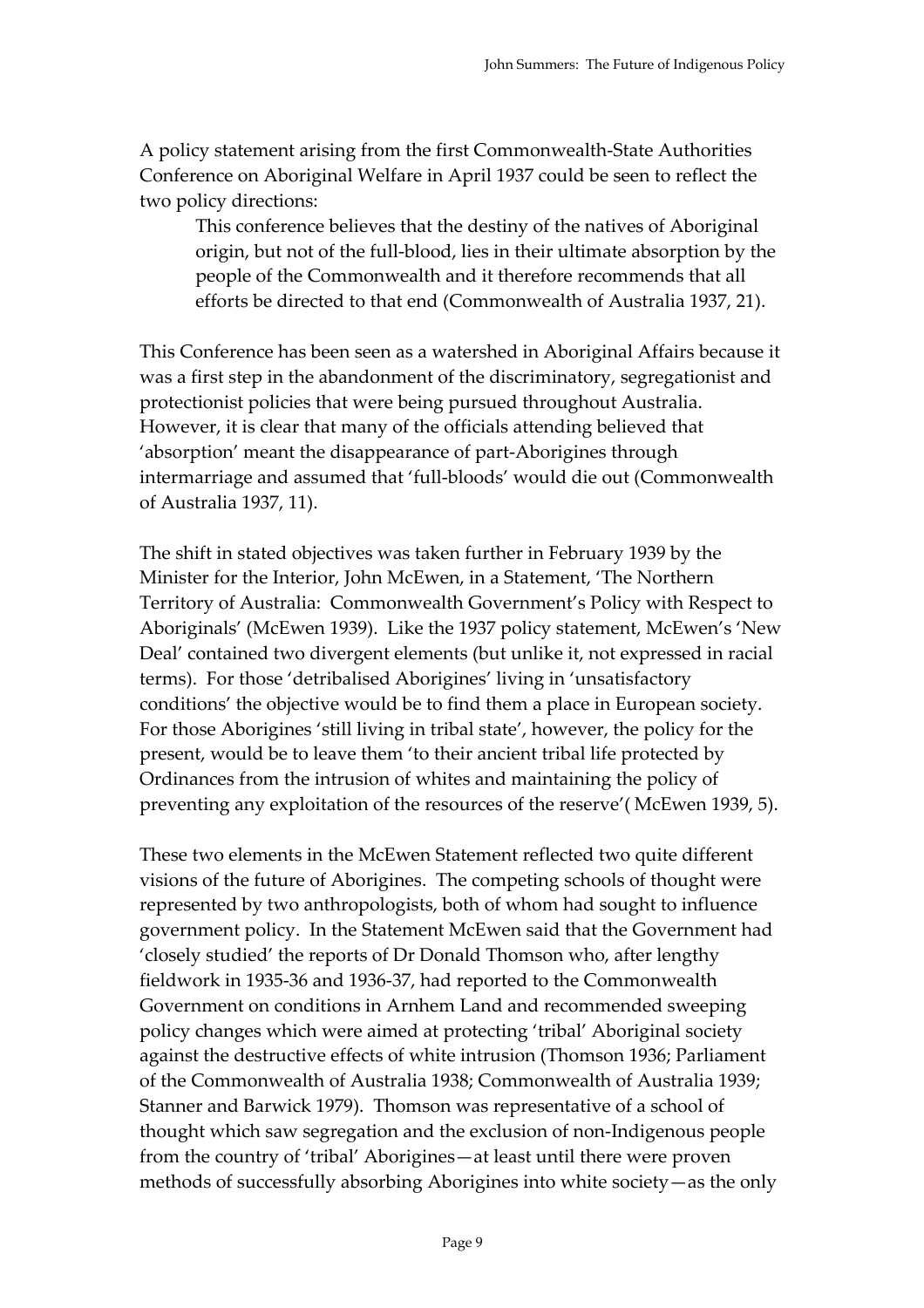A policy statement arising from the first Commonwealth-State Authorities Conference on Aboriginal Welfare in April 1937 could be seen to reflect the two policy directions:

This conference believes that the destiny of the natives of Aboriginal origin, but not of the full-blood, lies in their ultimate absorption by the people of the Commonwealth and it therefore recommends that all efforts be directed to that end (Commonwealth of Australia 1937, 21).

This Conference has been seen as a watershed in Aboriginal Affairs because it was a first step in the abandonment of the discriminatory, segregationist and protectionist policies that were being pursued throughout Australia. However, it is clear that many of the officials attending believed that 'absorption' meant the disappearance of part-Aborigines through intermarriage and assumed that 'full-bloods' would die out (Commonwealth of Australia 1937, 11).

The shift in stated objectives was taken further in February 1939 by the Minister for the Interior, John McEwen, in a Statement, 'The Northern Territory of Australia: Commonwealth Government's Policy with Respect to Aboriginals' (McEwen 1939). Like the 1937 policy statement, McEwen's 'New Deal' contained two divergent elements (but unlike it, not expressed in racial terms). For those 'detribalised Aborigines' living in 'unsatisfactory conditions' the objective would be to find them a place in European society. For those Aborigines 'still living in tribal state', however, the policy for the present, would be to leave them 'to their ancient tribal life protected by Ordinances from the intrusion of whites and maintaining the policy of preventing any exploitation of the resources of the reserve'( McEwen 1939, 5).

These two elements in the McEwen Statement reflected two quite different visions of the future of Aborigines. The competing schools of thought were represented by two anthropologists, both of whom had sought to influence government policy. In the Statement McEwen said that the Government had 'closely studied' the reports of Dr Donald Thomson who, after lengthy fieldwork in 1935-36 and 1936-37, had reported to the Commonwealth Government on conditions in Arnhem Land and recommended sweeping policy changes which were aimed at protecting 'tribal' Aboriginal society against the destructive effects of white intrusion (Thomson 1936; Parliament of the Commonwealth of Australia 1938; Commonwealth of Australia 1939; Stanner and Barwick 1979). Thomson was representative of a school of thought which saw segregation and the exclusion of non-Indigenous people from the country of 'tribal' Aborigines—at least until there were proven methods of successfully absorbing Aborigines into white society—as the only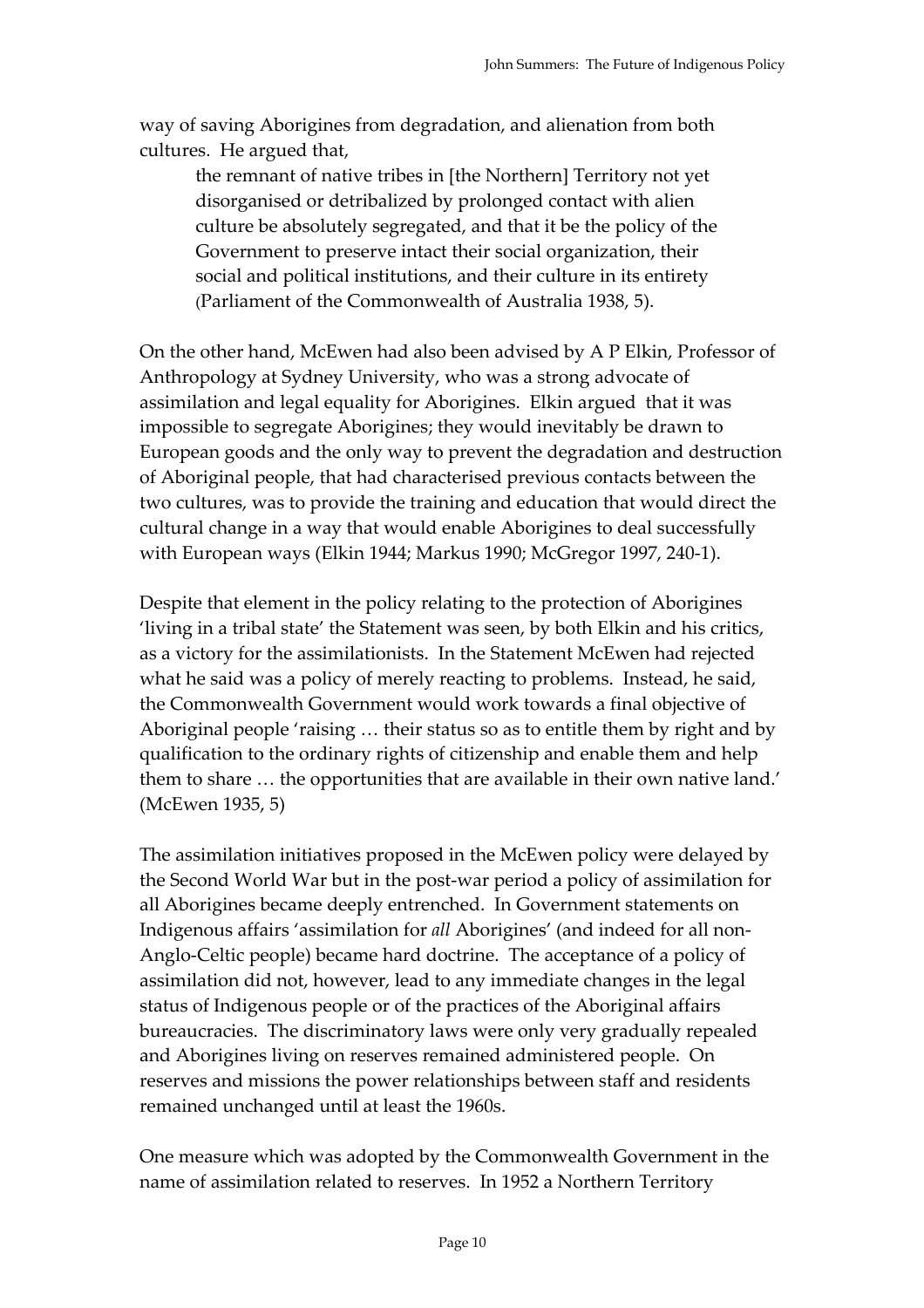way of saving Aborigines from degradation, and alienation from both cultures. He argued that,

the remnant of native tribes in [the Northern] Territory not yet disorganised or detribalized by prolonged contact with alien culture be absolutely segregated, and that it be the policy of the Government to preserve intact their social organization, their social and political institutions, and their culture in its entirety (Parliament of the Commonwealth of Australia 1938, 5).

On the other hand, McEwen had also been advised by A P Elkin, Professor of Anthropology at Sydney University, who was a strong advocate of assimilation and legal equality for Aborigines. Elkin argued that it was impossible to segregate Aborigines; they would inevitably be drawn to European goods and the only way to prevent the degradation and destruction of Aboriginal people, that had characterised previous contacts between the two cultures, was to provide the training and education that would direct the cultural change in a way that would enable Aborigines to deal successfully with European ways (Elkin 1944; Markus 1990; McGregor 1997, 240-1).

Despite that element in the policy relating to the protection of Aborigines 'living in a tribal state' the Statement was seen, by both Elkin and his critics, as a victory for the assimilationists. In the Statement McEwen had rejected what he said was a policy of merely reacting to problems. Instead, he said, the Commonwealth Government would work towards a final objective of Aboriginal people 'raising … their status so as to entitle them by right and by qualification to the ordinary rights of citizenship and enable them and help them to share … the opportunities that are available in their own native land.' (McEwen 1935, 5)

The assimilation initiatives proposed in the McEwen policy were delayed by the Second World War but in the post-war period a policy of assimilation for all Aborigines became deeply entrenched. In Government statements on Indigenous affairs 'assimilation for *all* Aborigines' (and indeed for all non-Anglo-Celtic people) became hard doctrine. The acceptance of a policy of assimilation did not, however, lead to any immediate changes in the legal status of Indigenous people or of the practices of the Aboriginal affairs bureaucracies. The discriminatory laws were only very gradually repealed and Aborigines living on reserves remained administered people. On reserves and missions the power relationships between staff and residents remained unchanged until at least the 1960s.

One measure which was adopted by the Commonwealth Government in the name of assimilation related to reserves. In 1952 a Northern Territory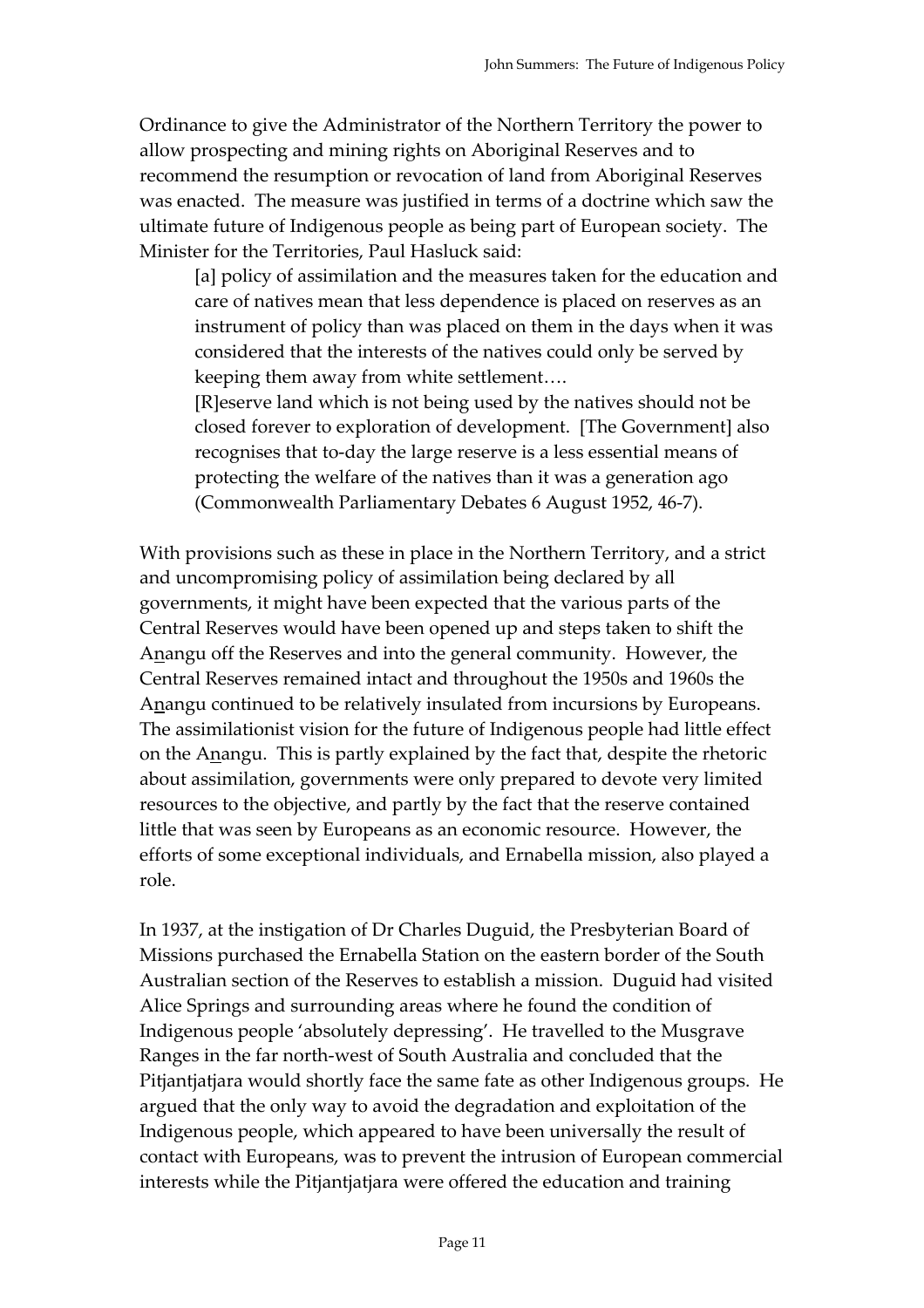Ordinance to give the Administrator of the Northern Territory the power to allow prospecting and mining rights on Aboriginal Reserves and to recommend the resumption or revocation of land from Aboriginal Reserves was enacted. The measure was justified in terms of a doctrine which saw the ultimate future of Indigenous people as being part of European society. The Minister for the Territories, Paul Hasluck said:

[a] policy of assimilation and the measures taken for the education and care of natives mean that less dependence is placed on reserves as an instrument of policy than was placed on them in the days when it was considered that the interests of the natives could only be served by keeping them away from white settlement….

[R]eserve land which is not being used by the natives should not be closed forever to exploration of development. [The Government] also recognises that to-day the large reserve is a less essential means of protecting the welfare of the natives than it was a generation ago (Commonwealth Parliamentary Debates 6 August 1952, 46-7).

With provisions such as these in place in the Northern Territory, and a strict and uncompromising policy of assimilation being declared by all governments, it might have been expected that the various parts of the Central Reserves would have been opened up and steps taken to shift the Anangu off the Reserves and into the general community. However, the Central Reserves remained intact and throughout the 1950s and 1960s the Anangu continued to be relatively insulated from incursions by Europeans. The assimilationist vision for the future of Indigenous people had little effect on the Anangu. This is partly explained by the fact that, despite the rhetoric about assimilation, governments were only prepared to devote very limited resources to the objective, and partly by the fact that the reserve contained little that was seen by Europeans as an economic resource. However, the efforts of some exceptional individuals, and Ernabella mission, also played a role.

In 1937, at the instigation of Dr Charles Duguid, the Presbyterian Board of Missions purchased the Ernabella Station on the eastern border of the South Australian section of the Reserves to establish a mission. Duguid had visited Alice Springs and surrounding areas where he found the condition of Indigenous people 'absolutely depressing'. He travelled to the Musgrave Ranges in the far north-west of South Australia and concluded that the Pitjantjatjara would shortly face the same fate as other Indigenous groups. He argued that the only way to avoid the degradation and exploitation of the Indigenous people, which appeared to have been universally the result of contact with Europeans, was to prevent the intrusion of European commercial interests while the Pitjantjatjara were offered the education and training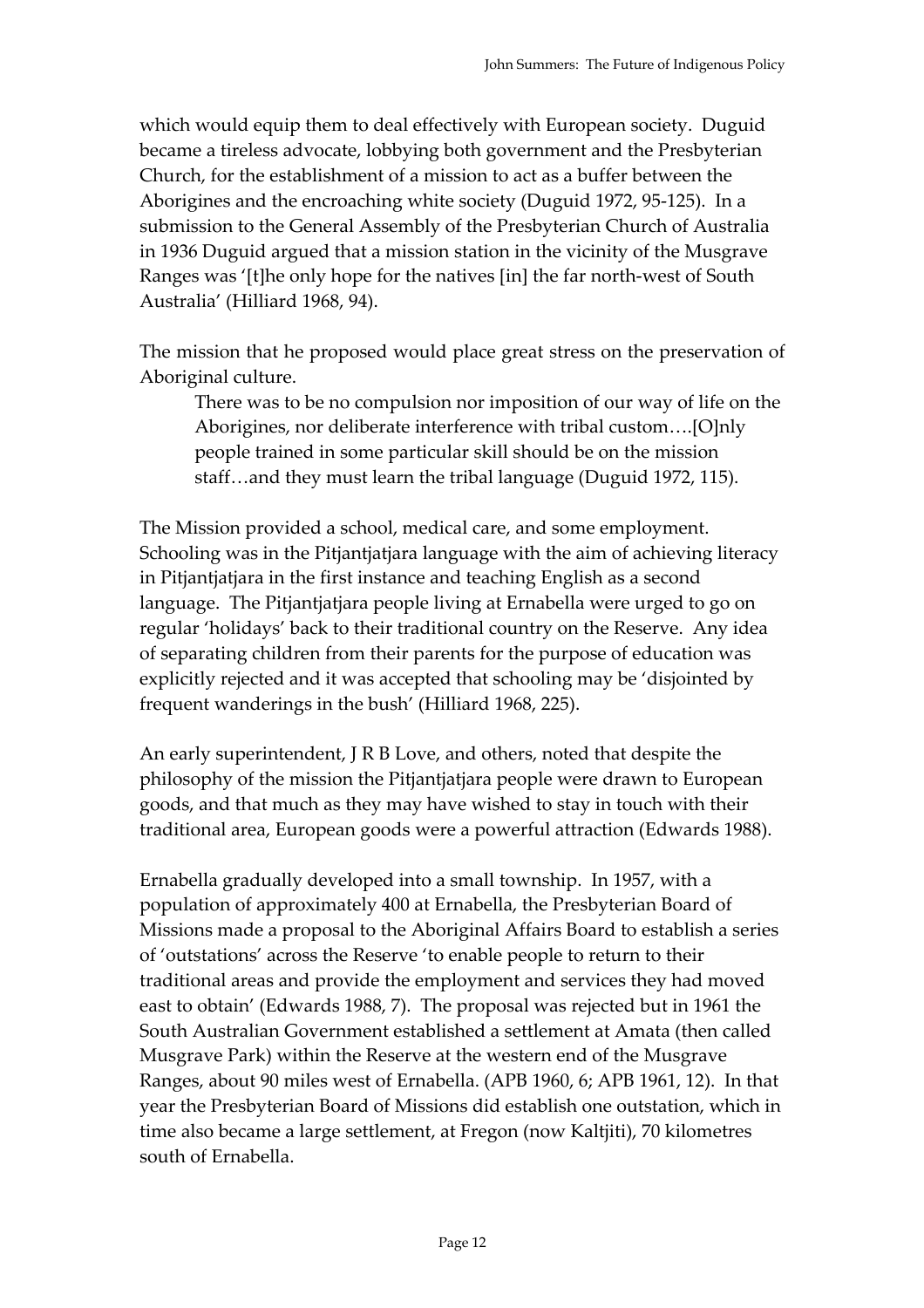which would equip them to deal effectively with European society. Duguid became a tireless advocate, lobbying both government and the Presbyterian Church, for the establishment of a mission to act as a buffer between the Aborigines and the encroaching white society (Duguid 1972, 95-125). In a submission to the General Assembly of the Presbyterian Church of Australia in 1936 Duguid argued that a mission station in the vicinity of the Musgrave Ranges was '[t]he only hope for the natives [in] the far north-west of South Australia' (Hilliard 1968, 94).

The mission that he proposed would place great stress on the preservation of Aboriginal culture.

There was to be no compulsion nor imposition of our way of life on the Aborigines, nor deliberate interference with tribal custom….[O]nly people trained in some particular skill should be on the mission staff…and they must learn the tribal language (Duguid 1972, 115).

The Mission provided a school, medical care, and some employment. Schooling was in the Pitjantjatjara language with the aim of achieving literacy in Pitjantjatjara in the first instance and teaching English as a second language. The Pitjantjatjara people living at Ernabella were urged to go on regular 'holidays' back to their traditional country on the Reserve. Any idea of separating children from their parents for the purpose of education was explicitly rejected and it was accepted that schooling may be 'disjointed by frequent wanderings in the bush' (Hilliard 1968, 225).

An early superintendent, J R B Love, and others, noted that despite the philosophy of the mission the Pitjantjatjara people were drawn to European goods, and that much as they may have wished to stay in touch with their traditional area, European goods were a powerful attraction (Edwards 1988).

Ernabella gradually developed into a small township. In 1957, with a population of approximately 400 at Ernabella, the Presbyterian Board of Missions made a proposal to the Aboriginal Affairs Board to establish a series of 'outstations' across the Reserve 'to enable people to return to their traditional areas and provide the employment and services they had moved east to obtain' (Edwards 1988, 7). The proposal was rejected but in 1961 the South Australian Government established a settlement at Amata (then called Musgrave Park) within the Reserve at the western end of the Musgrave Ranges, about 90 miles west of Ernabella. (APB 1960, 6; APB 1961, 12). In that year the Presbyterian Board of Missions did establish one outstation, which in time also became a large settlement, at Fregon (now Kaltjiti), 70 kilometres south of Ernabella.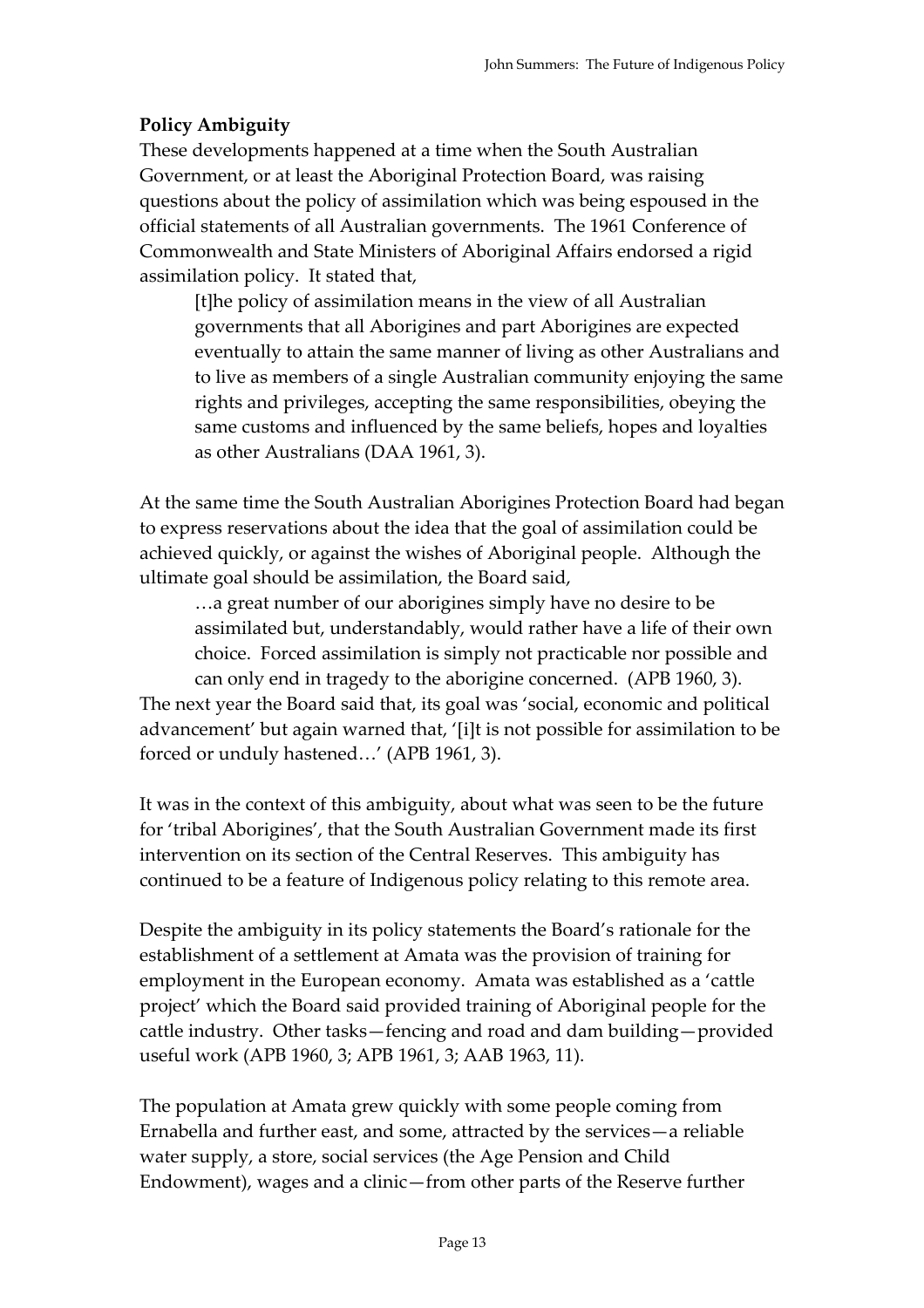## **Policy Ambiguity**

These developments happened at a time when the South Australian Government, or at least the Aboriginal Protection Board, was raising questions about the policy of assimilation which was being espoused in the official statements of all Australian governments. The 1961 Conference of Commonwealth and State Ministers of Aboriginal Affairs endorsed a rigid assimilation policy. It stated that,

[t]he policy of assimilation means in the view of all Australian governments that all Aborigines and part Aborigines are expected eventually to attain the same manner of living as other Australians and to live as members of a single Australian community enjoying the same rights and privileges, accepting the same responsibilities, obeying the same customs and influenced by the same beliefs, hopes and loyalties as other Australians (DAA 1961, 3).

At the same time the South Australian Aborigines Protection Board had began to express reservations about the idea that the goal of assimilation could be achieved quickly, or against the wishes of Aboriginal people. Although the ultimate goal should be assimilation, the Board said,

…a great number of our aborigines simply have no desire to be assimilated but, understandably, would rather have a life of their own choice. Forced assimilation is simply not practicable nor possible and

can only end in tragedy to the aborigine concerned. (APB 1960, 3). The next year the Board said that, its goal was 'social, economic and political advancement' but again warned that, '[i]t is not possible for assimilation to be forced or unduly hastened…' (APB 1961, 3).

It was in the context of this ambiguity, about what was seen to be the future for 'tribal Aborigines', that the South Australian Government made its first intervention on its section of the Central Reserves. This ambiguity has continued to be a feature of Indigenous policy relating to this remote area.

Despite the ambiguity in its policy statements the Board's rationale for the establishment of a settlement at Amata was the provision of training for employment in the European economy. Amata was established as a 'cattle project' which the Board said provided training of Aboriginal people for the cattle industry. Other tasks—fencing and road and dam building—provided useful work (APB 1960, 3; APB 1961, 3; AAB 1963, 11).

The population at Amata grew quickly with some people coming from Ernabella and further east, and some, attracted by the services—a reliable water supply, a store, social services (the Age Pension and Child Endowment), wages and a clinic—from other parts of the Reserve further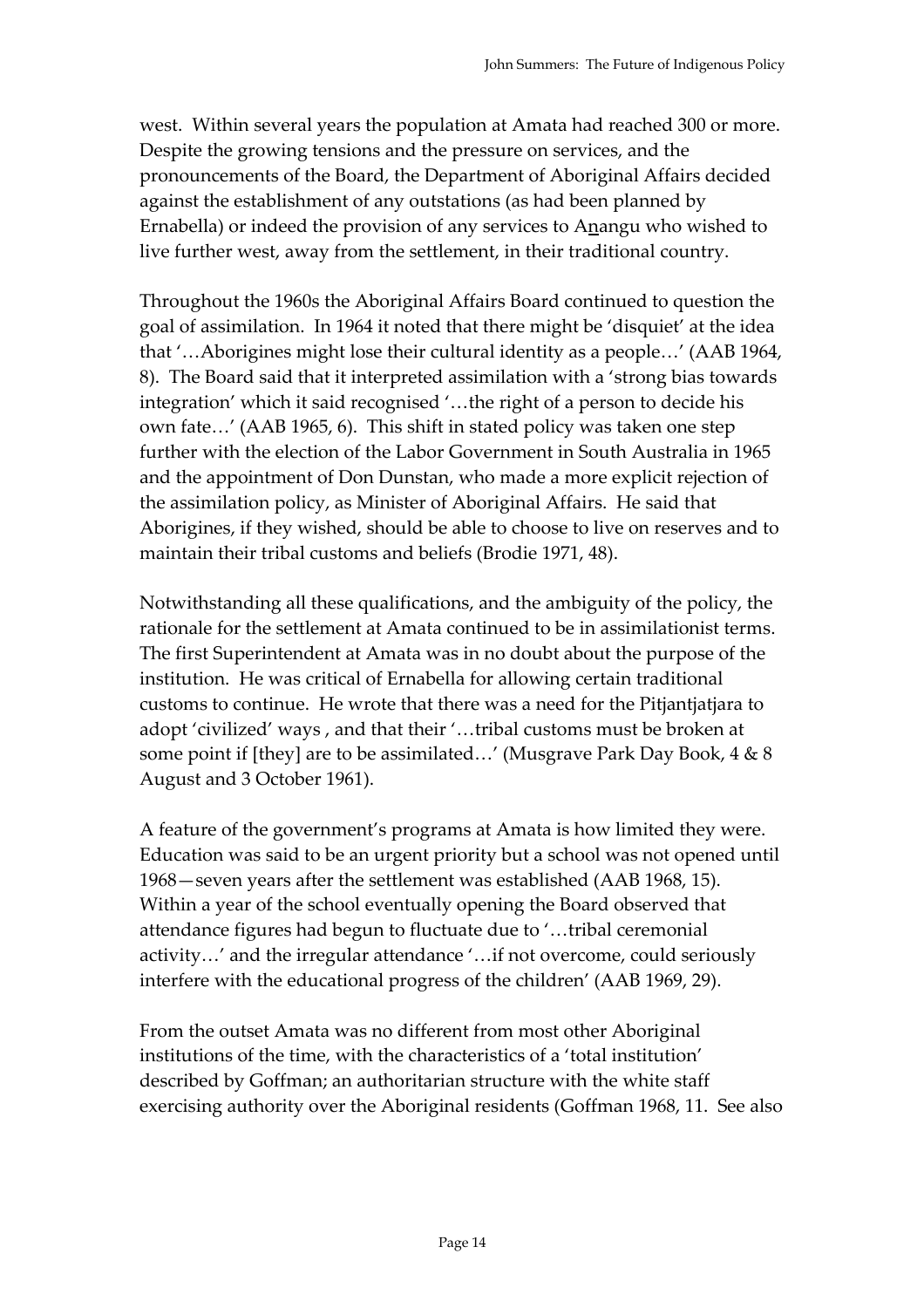west. Within several years the population at Amata had reached 300 or more. Despite the growing tensions and the pressure on services, and the pronouncements of the Board, the Department of Aboriginal Affairs decided against the establishment of any outstations (as had been planned by Ernabella) or indeed the provision of any services to Anangu who wished to live further west, away from the settlement, in their traditional country.

Throughout the 1960s the Aboriginal Affairs Board continued to question the goal of assimilation. In 1964 it noted that there might be 'disquiet' at the idea that '…Aborigines might lose their cultural identity as a people…' (AAB 1964, 8). The Board said that it interpreted assimilation with a 'strong bias towards integration' which it said recognised '…the right of a person to decide his own fate…' (AAB 1965, 6). This shift in stated policy was taken one step further with the election of the Labor Government in South Australia in 1965 and the appointment of Don Dunstan, who made a more explicit rejection of the assimilation policy, as Minister of Aboriginal Affairs. He said that Aborigines, if they wished, should be able to choose to live on reserves and to maintain their tribal customs and beliefs (Brodie 1971, 48).

Notwithstanding all these qualifications, and the ambiguity of the policy, the rationale for the settlement at Amata continued to be in assimilationist terms. The first Superintendent at Amata was in no doubt about the purpose of the institution. He was critical of Ernabella for allowing certain traditional customs to continue. He wrote that there was a need for the Pitjantjatjara to adopt 'civilized' ways , and that their '…tribal customs must be broken at some point if [they] are to be assimilated…' (Musgrave Park Day Book, 4 & 8 August and 3 October 1961).

A feature of the government's programs at Amata is how limited they were. Education was said to be an urgent priority but a school was not opened until 1968—seven years after the settlement was established (AAB 1968, 15). Within a year of the school eventually opening the Board observed that attendance figures had begun to fluctuate due to '…tribal ceremonial activity…' and the irregular attendance '…if not overcome, could seriously interfere with the educational progress of the children' (AAB 1969, 29).

From the outset Amata was no different from most other Aboriginal institutions of the time, with the characteristics of a 'total institution' described by Goffman; an authoritarian structure with the white staff exercising authority over the Aboriginal residents (Goffman 1968, 11. See also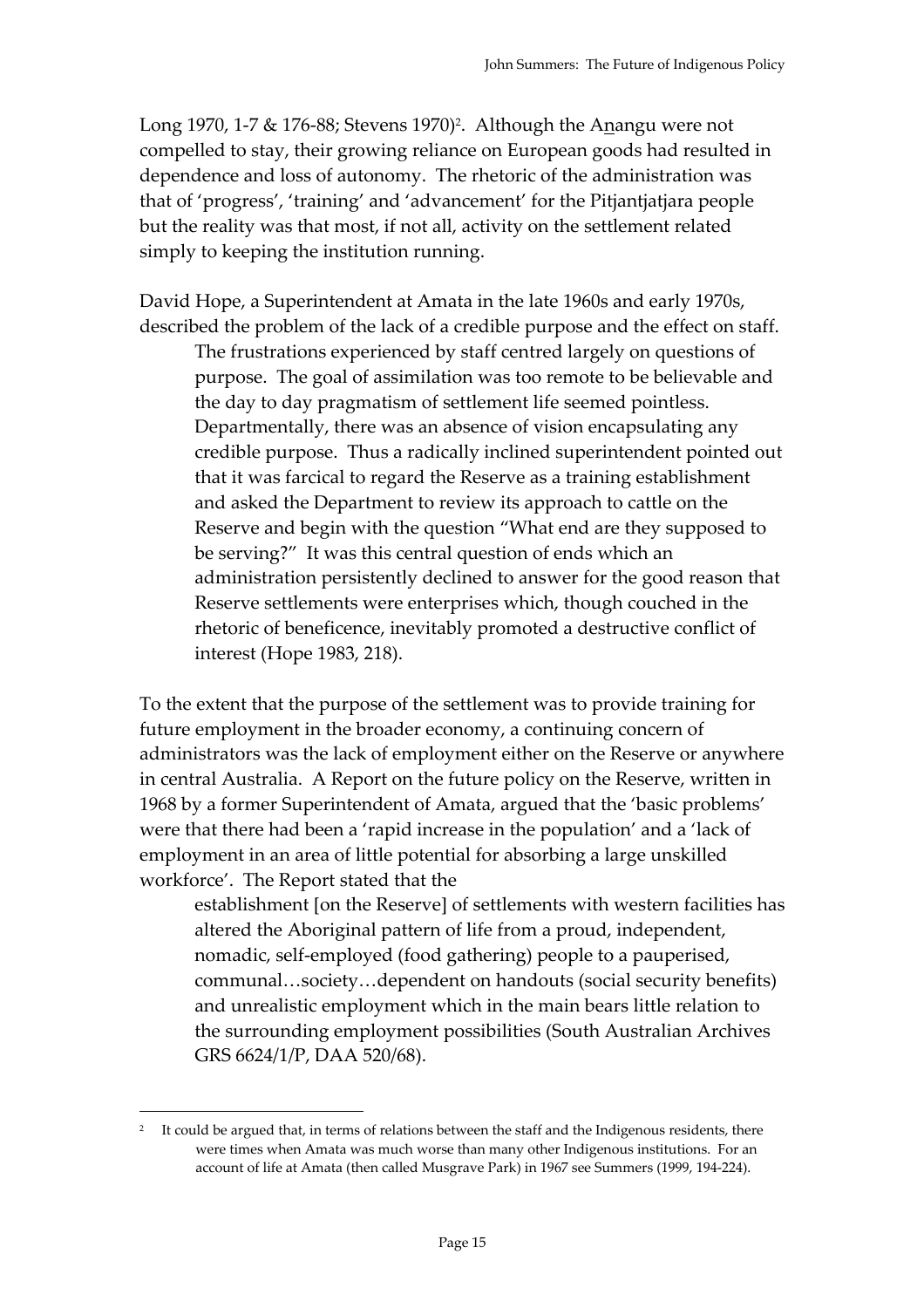Long 1970, 1-7  $&$  176-88; Stevens 1970)<sup>2</sup>. Although the Anangu were not compelled to stay, their growing reliance on European goods had resulted in dependence and loss of autonomy. The rhetoric of the administration was that of 'progress', 'training' and 'advancement' for the Pitjantjatjara people but the reality was that most, if not all, activity on the settlement related simply to keeping the institution running.

David Hope, a Superintendent at Amata in the late 1960s and early 1970s, described the problem of the lack of a credible purpose and the effect on staff.

The frustrations experienced by staff centred largely on questions of purpose. The goal of assimilation was too remote to be believable and the day to day pragmatism of settlement life seemed pointless. Departmentally, there was an absence of vision encapsulating any credible purpose. Thus a radically inclined superintendent pointed out that it was farcical to regard the Reserve as a training establishment and asked the Department to review its approach to cattle on the Reserve and begin with the question "What end are they supposed to be serving?" It was this central question of ends which an administration persistently declined to answer for the good reason that Reserve settlements were enterprises which, though couched in the rhetoric of beneficence, inevitably promoted a destructive conflict of interest (Hope 1983, 218).

To the extent that the purpose of the settlement was to provide training for future employment in the broader economy, a continuing concern of administrators was the lack of employment either on the Reserve or anywhere in central Australia. A Report on the future policy on the Reserve, written in 1968 by a former Superintendent of Amata, argued that the 'basic problems' were that there had been a 'rapid increase in the population' and a 'lack of employment in an area of little potential for absorbing a large unskilled workforce'. The Report stated that the

establishment [on the Reserve] of settlements with western facilities has altered the Aboriginal pattern of life from a proud, independent, nomadic, self-employed (food gathering) people to a pauperised, communal…society…dependent on handouts (social security benefits) and unrealistic employment which in the main bears little relation to the surrounding employment possibilities (South Australian Archives GRS 6624/1/P, DAA 520/68).

 $\overline{a}$ 

It could be argued that, in terms of relations between the staff and the Indigenous residents, there were times when Amata was much worse than many other Indigenous institutions. For an account of life at Amata (then called Musgrave Park) in 1967 see Summers (1999, 194-224).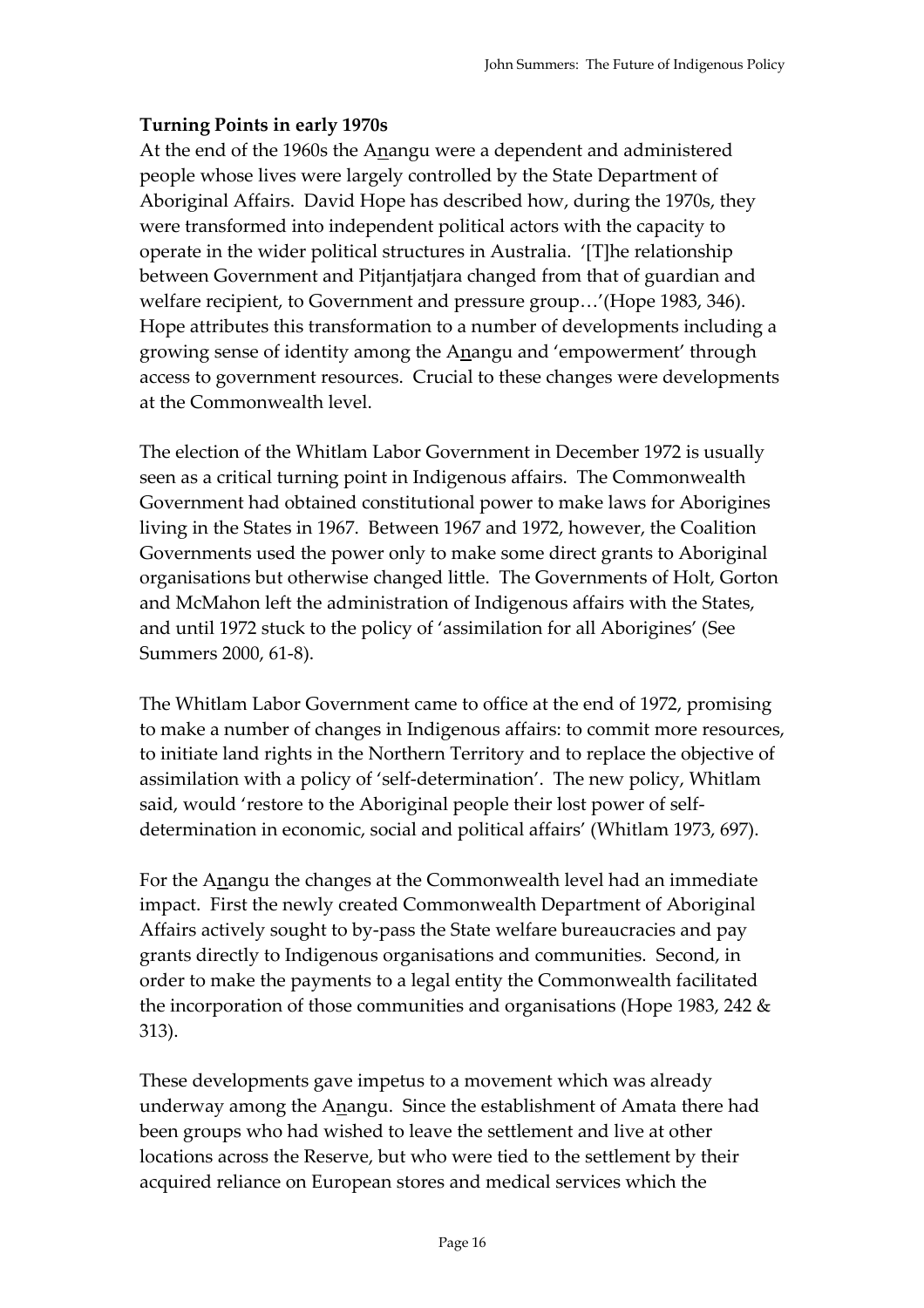## **Turning Points in early 1970s**

At the end of the 1960s the Anangu were a dependent and administered people whose lives were largely controlled by the State Department of Aboriginal Affairs. David Hope has described how, during the 1970s, they were transformed into independent political actors with the capacity to operate in the wider political structures in Australia. '[T]he relationship between Government and Pitjantjatjara changed from that of guardian and welfare recipient, to Government and pressure group…'(Hope 1983, 346). Hope attributes this transformation to a number of developments including a growing sense of identity among the Anangu and 'empowerment' through access to government resources. Crucial to these changes were developments at the Commonwealth level.

The election of the Whitlam Labor Government in December 1972 is usually seen as a critical turning point in Indigenous affairs. The Commonwealth Government had obtained constitutional power to make laws for Aborigines living in the States in 1967. Between 1967 and 1972, however, the Coalition Governments used the power only to make some direct grants to Aboriginal organisations but otherwise changed little. The Governments of Holt, Gorton and McMahon left the administration of Indigenous affairs with the States, and until 1972 stuck to the policy of 'assimilation for all Aborigines' (See Summers 2000, 61-8).

The Whitlam Labor Government came to office at the end of 1972, promising to make a number of changes in Indigenous affairs: to commit more resources, to initiate land rights in the Northern Territory and to replace the objective of assimilation with a policy of 'self-determination'. The new policy, Whitlam said, would 'restore to the Aboriginal people their lost power of selfdetermination in economic, social and political affairs' (Whitlam 1973, 697).

For the Anangu the changes at the Commonwealth level had an immediate impact. First the newly created Commonwealth Department of Aboriginal Affairs actively sought to by-pass the State welfare bureaucracies and pay grants directly to Indigenous organisations and communities. Second, in order to make the payments to a legal entity the Commonwealth facilitated the incorporation of those communities and organisations (Hope 1983, 242 & 313).

These developments gave impetus to a movement which was already underway among the Anangu. Since the establishment of Amata there had been groups who had wished to leave the settlement and live at other locations across the Reserve, but who were tied to the settlement by their acquired reliance on European stores and medical services which the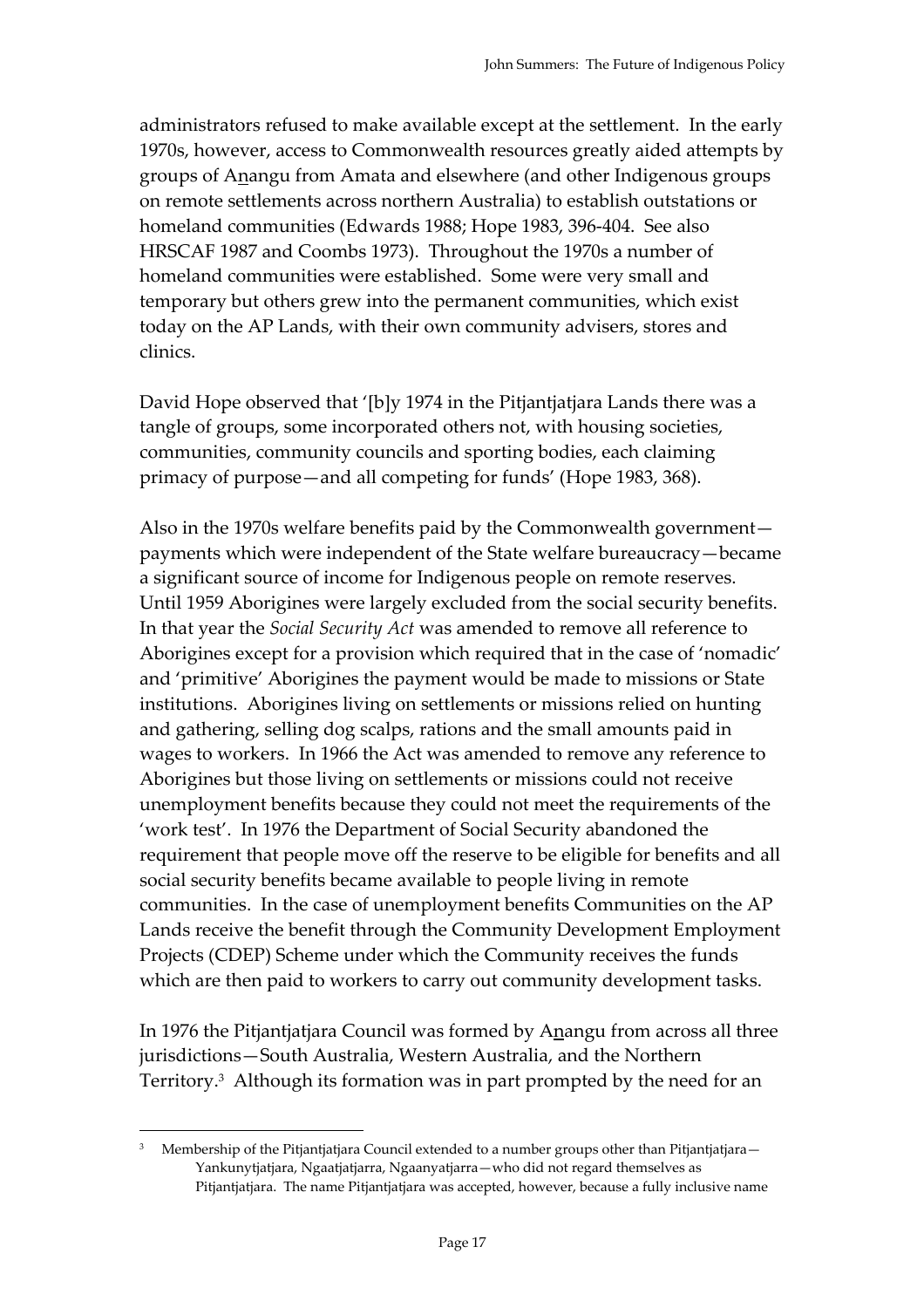administrators refused to make available except at the settlement. In the early 1970s, however, access to Commonwealth resources greatly aided attempts by groups of Anangu from Amata and elsewhere (and other Indigenous groups on remote settlements across northern Australia) to establish outstations or homeland communities (Edwards 1988; Hope 1983, 396-404. See also HRSCAF 1987 and Coombs 1973). Throughout the 1970s a number of homeland communities were established. Some were very small and temporary but others grew into the permanent communities, which exist today on the AP Lands, with their own community advisers, stores and clinics.

David Hope observed that '[b]y 1974 in the Pitjantjatjara Lands there was a tangle of groups, some incorporated others not, with housing societies, communities, community councils and sporting bodies, each claiming primacy of purpose—and all competing for funds' (Hope 1983, 368).

Also in the 1970s welfare benefits paid by the Commonwealth government payments which were independent of the State welfare bureaucracy—became a significant source of income for Indigenous people on remote reserves. Until 1959 Aborigines were largely excluded from the social security benefits. In that year the *Social Security Act* was amended to remove all reference to Aborigines except for a provision which required that in the case of 'nomadic' and 'primitive' Aborigines the payment would be made to missions or State institutions. Aborigines living on settlements or missions relied on hunting and gathering, selling dog scalps, rations and the small amounts paid in wages to workers. In 1966 the Act was amended to remove any reference to Aborigines but those living on settlements or missions could not receive unemployment benefits because they could not meet the requirements of the 'work test'. In 1976 the Department of Social Security abandoned the requirement that people move off the reserve to be eligible for benefits and all social security benefits became available to people living in remote communities. In the case of unemployment benefits Communities on the AP Lands receive the benefit through the Community Development Employment Projects (CDEP) Scheme under which the Community receives the funds which are then paid to workers to carry out community development tasks.

In 1976 the Pitjantjatjara Council was formed by Anangu from across all three jurisdictions—South Australia, Western Australia, and the Northern Territory.3 Although its formation was in part prompted by the need for an

 $\overline{a}$ 

<sup>3</sup> Membership of the Pitjantjatjara Council extended to a number groups other than Pitjantjatjara— Yankunytjatjara, Ngaatjatjarra, Ngaanyatjarra—who did not regard themselves as Pitjantjatjara. The name Pitjantjatjara was accepted, however, because a fully inclusive name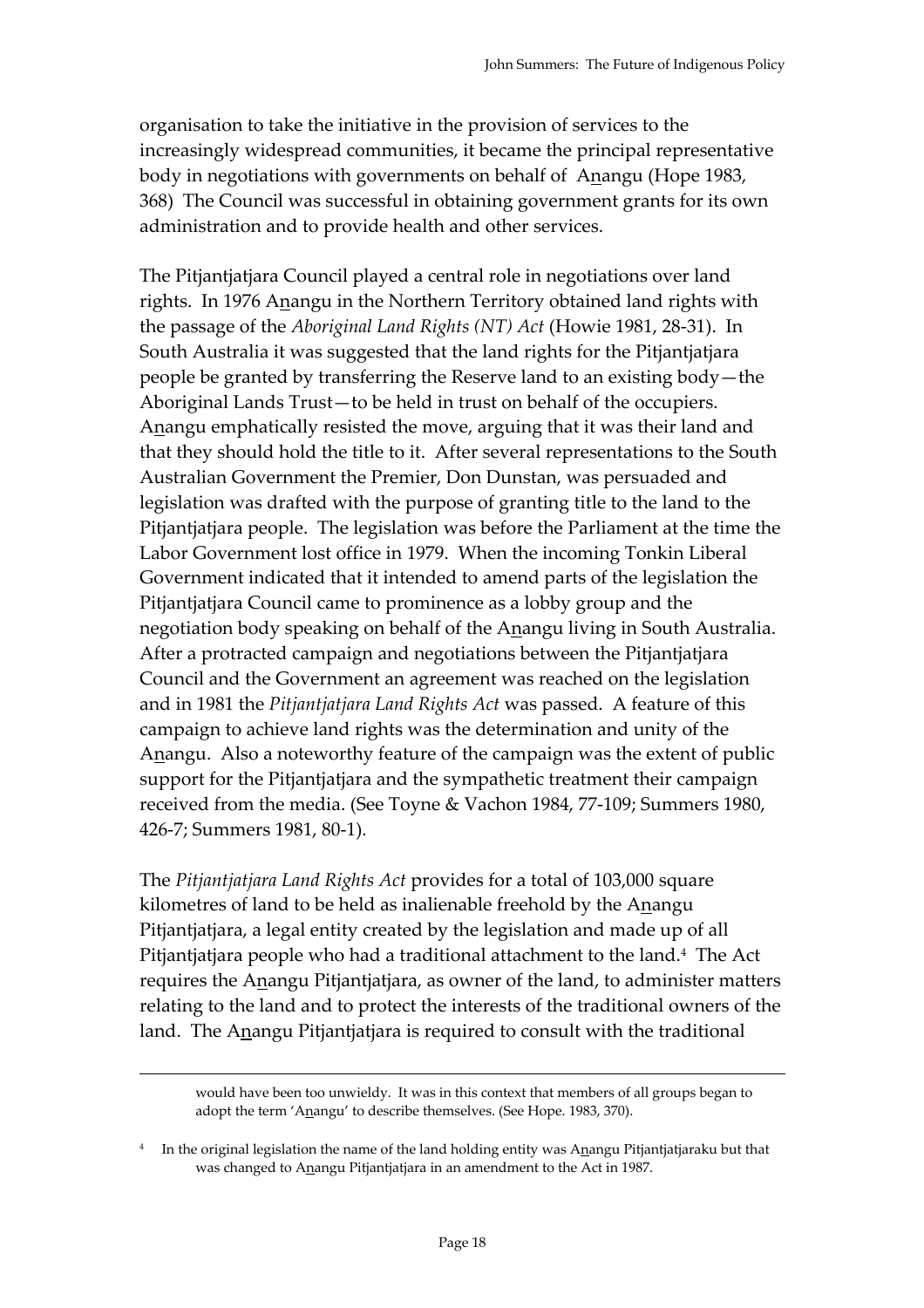organisation to take the initiative in the provision of services to the increasingly widespread communities, it became the principal representative body in negotiations with governments on behalf of Anangu (Hope 1983, 368) The Council was successful in obtaining government grants for its own administration and to provide health and other services.

The Pitjantjatjara Council played a central role in negotiations over land rights. In 1976 Anangu in the Northern Territory obtained land rights with the passage of the *Aboriginal Land Rights (NT) Act* (Howie 1981, 28-31). In South Australia it was suggested that the land rights for the Pitjantjatjara people be granted by transferring the Reserve land to an existing body—the Aboriginal Lands Trust—to be held in trust on behalf of the occupiers. Anangu emphatically resisted the move, arguing that it was their land and that they should hold the title to it. After several representations to the South Australian Government the Premier, Don Dunstan, was persuaded and legislation was drafted with the purpose of granting title to the land to the Pitjantjatjara people. The legislation was before the Parliament at the time the Labor Government lost office in 1979. When the incoming Tonkin Liberal Government indicated that it intended to amend parts of the legislation the Pitjantjatjara Council came to prominence as a lobby group and the negotiation body speaking on behalf of the Anangu living in South Australia. After a protracted campaign and negotiations between the Pitjantjatjara Council and the Government an agreement was reached on the legislation and in 1981 the *Pitjantjatjara Land Rights Act* was passed. A feature of this campaign to achieve land rights was the determination and unity of the Anangu. Also a noteworthy feature of the campaign was the extent of public support for the Pitjantjatjara and the sympathetic treatment their campaign received from the media. (See Toyne & Vachon 1984, 77-109; Summers 1980, 426-7; Summers 1981, 80-1).

The *Pitjantjatjara Land Rights Act* provides for a total of 103,000 square kilometres of land to be held as inalienable freehold by the Anangu Pitjantjatjara, a legal entity created by the legislation and made up of all Pitjantjatjara people who had a traditional attachment to the land.4 The Act requires the Anangu Pitjantjatjara, as owner of the land, to administer matters relating to the land and to protect the interests of the traditional owners of the land. The Anangu Pitjantjatjara is required to consult with the traditional

would have been too unwieldy. It was in this context that members of all groups began to adopt the term 'Anangu' to describe themselves. (See Hope. 1983, 370).

<sup>4</sup> In the original legislation the name of the land holding entity was Anangu Pitjantjatjaraku but that was changed to Anangu Pitjantjatjara in an amendment to the Act in 1987.

1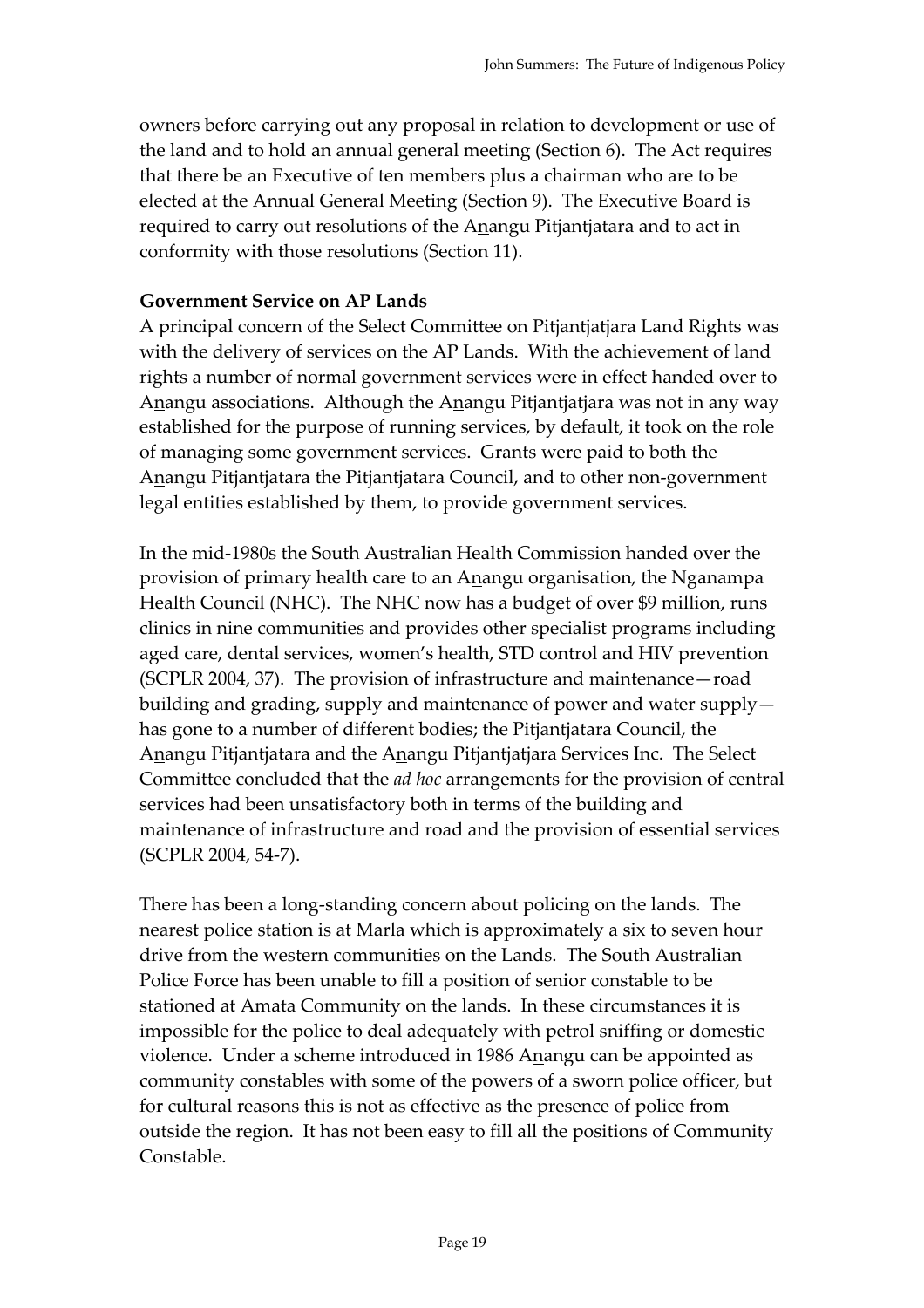owners before carrying out any proposal in relation to development or use of the land and to hold an annual general meeting (Section 6). The Act requires that there be an Executive of ten members plus a chairman who are to be elected at the Annual General Meeting (Section 9). The Executive Board is required to carry out resolutions of the Anangu Pitjantjatara and to act in conformity with those resolutions (Section 11).

### **Government Service on AP Lands**

A principal concern of the Select Committee on Pitjantjatjara Land Rights was with the delivery of services on the AP Lands. With the achievement of land rights a number of normal government services were in effect handed over to Anangu associations. Although the Anangu Pitjantjatjara was not in any way established for the purpose of running services, by default, it took on the role of managing some government services. Grants were paid to both the Anangu Pitjantjatara the Pitjantjatara Council, and to other non-government legal entities established by them, to provide government services.

In the mid-1980s the South Australian Health Commission handed over the provision of primary health care to an Anangu organisation, the Nganampa Health Council (NHC). The NHC now has a budget of over \$9 million, runs clinics in nine communities and provides other specialist programs including aged care, dental services, women's health, STD control and HIV prevention (SCPLR 2004, 37). The provision of infrastructure and maintenance—road building and grading, supply and maintenance of power and water supply has gone to a number of different bodies; the Pitjantjatara Council, the Anangu Pitjantjatara and the Anangu Pitjantjatjara Services Inc. The Select Committee concluded that the *ad hoc* arrangements for the provision of central services had been unsatisfactory both in terms of the building and maintenance of infrastructure and road and the provision of essential services (SCPLR 2004, 54-7).

There has been a long-standing concern about policing on the lands. The nearest police station is at Marla which is approximately a six to seven hour drive from the western communities on the Lands. The South Australian Police Force has been unable to fill a position of senior constable to be stationed at Amata Community on the lands. In these circumstances it is impossible for the police to deal adequately with petrol sniffing or domestic violence. Under a scheme introduced in 1986 Anangu can be appointed as community constables with some of the powers of a sworn police officer, but for cultural reasons this is not as effective as the presence of police from outside the region. It has not been easy to fill all the positions of Community Constable.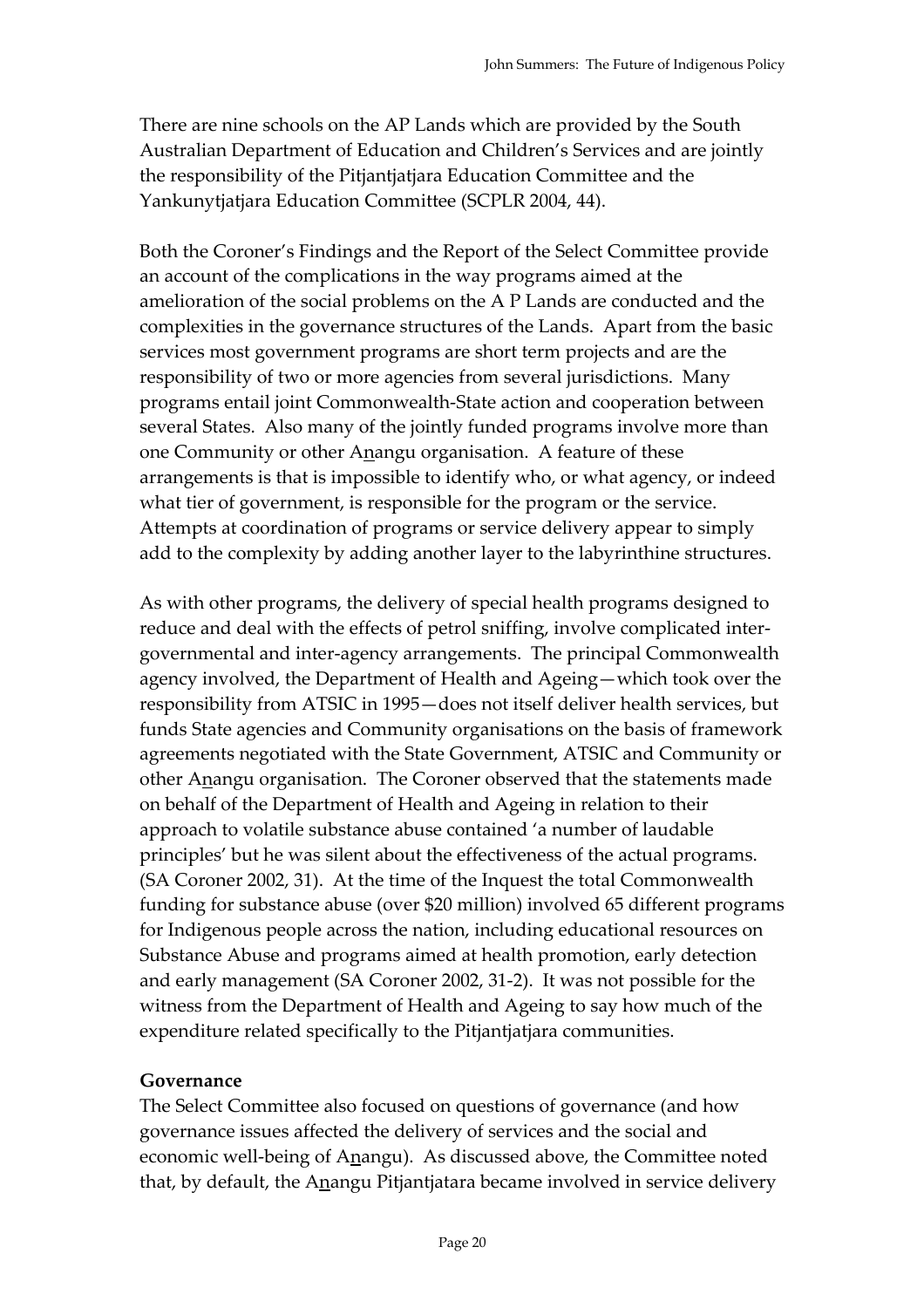There are nine schools on the AP Lands which are provided by the South Australian Department of Education and Children's Services and are jointly the responsibility of the Pitjantjatjara Education Committee and the Yankunytjatjara Education Committee (SCPLR 2004, 44).

Both the Coroner's Findings and the Report of the Select Committee provide an account of the complications in the way programs aimed at the amelioration of the social problems on the A P Lands are conducted and the complexities in the governance structures of the Lands. Apart from the basic services most government programs are short term projects and are the responsibility of two or more agencies from several jurisdictions. Many programs entail joint Commonwealth-State action and cooperation between several States. Also many of the jointly funded programs involve more than one Community or other Anangu organisation. A feature of these arrangements is that is impossible to identify who, or what agency, or indeed what tier of government, is responsible for the program or the service. Attempts at coordination of programs or service delivery appear to simply add to the complexity by adding another layer to the labyrinthine structures.

As with other programs, the delivery of special health programs designed to reduce and deal with the effects of petrol sniffing, involve complicated intergovernmental and inter-agency arrangements. The principal Commonwealth agency involved, the Department of Health and Ageing—which took over the responsibility from ATSIC in 1995—does not itself deliver health services, but funds State agencies and Community organisations on the basis of framework agreements negotiated with the State Government, ATSIC and Community or other Anangu organisation. The Coroner observed that the statements made on behalf of the Department of Health and Ageing in relation to their approach to volatile substance abuse contained 'a number of laudable principles' but he was silent about the effectiveness of the actual programs. (SA Coroner 2002, 31). At the time of the Inquest the total Commonwealth funding for substance abuse (over \$20 million) involved 65 different programs for Indigenous people across the nation, including educational resources on Substance Abuse and programs aimed at health promotion, early detection and early management (SA Coroner 2002, 31-2). It was not possible for the witness from the Department of Health and Ageing to say how much of the expenditure related specifically to the Pitjantjatjara communities.

### **Governance**

The Select Committee also focused on questions of governance (and how governance issues affected the delivery of services and the social and economic well-being of Anangu). As discussed above, the Committee noted that, by default, the Anangu Pitjantjatara became involved in service delivery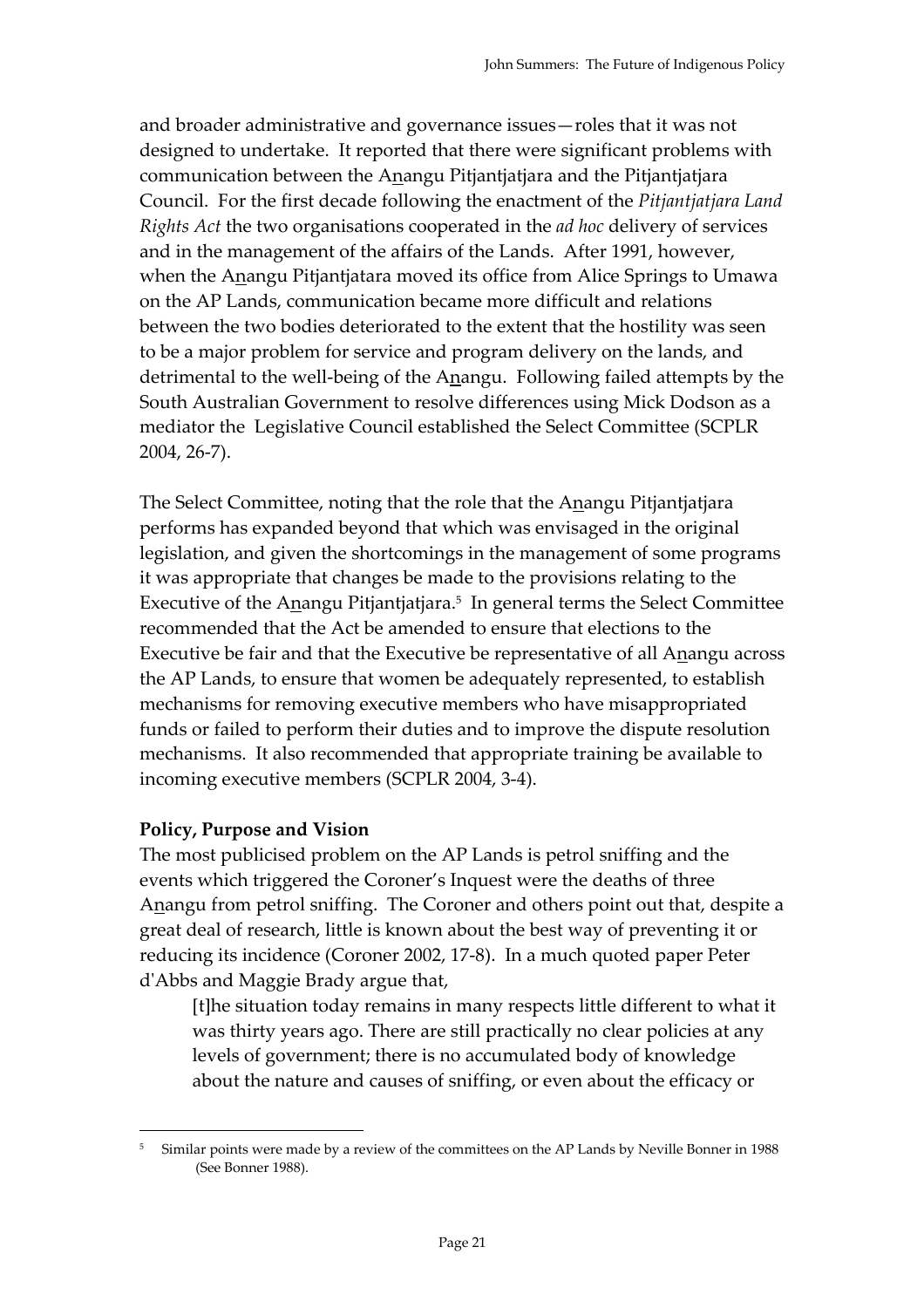and broader administrative and governance issues—roles that it was not designed to undertake. It reported that there were significant problems with communication between the Anangu Pitjantjatjara and the Pitjantjatjara Council. For the first decade following the enactment of the *Pitjantjatjara Land Rights Act* the two organisations cooperated in the *ad hoc* delivery of services and in the management of the affairs of the Lands. After 1991, however, when the Anangu Pitjantjatara moved its office from Alice Springs to Umawa on the AP Lands, communication became more difficult and relations between the two bodies deteriorated to the extent that the hostility was seen to be a major problem for service and program delivery on the lands, and detrimental to the well-being of the Anangu. Following failed attempts by the South Australian Government to resolve differences using Mick Dodson as a mediator the Legislative Council established the Select Committee (SCPLR 2004, 26-7).

The Select Committee, noting that the role that the Anangu Pitjantjatjara performs has expanded beyond that which was envisaged in the original legislation, and given the shortcomings in the management of some programs it was appropriate that changes be made to the provisions relating to the Executive of the Anangu Pitjantjatjara.5 In general terms the Select Committee recommended that the Act be amended to ensure that elections to the Executive be fair and that the Executive be representative of all Anangu across the AP Lands, to ensure that women be adequately represented, to establish mechanisms for removing executive members who have misappropriated funds or failed to perform their duties and to improve the dispute resolution mechanisms. It also recommended that appropriate training be available to incoming executive members (SCPLR 2004, 3-4).

### **Policy, Purpose and Vision**

 $\overline{a}$ 

The most publicised problem on the AP Lands is petrol sniffing and the events which triggered the Coroner's Inquest were the deaths of three Anangu from petrol sniffing. The Coroner and others point out that, despite a great deal of research, little is known about the best way of preventing it or reducing its incidence (Coroner 2002, 17-8). In a much quoted paper Peter d'Abbs and Maggie Brady argue that,

[t]he situation today remains in many respects little different to what it was thirty years ago. There are still practically no clear policies at any levels of government; there is no accumulated body of knowledge about the nature and causes of sniffing, or even about the efficacy or

<sup>5</sup> Similar points were made by a review of the committees on the AP Lands by Neville Bonner in 1988 (See Bonner 1988).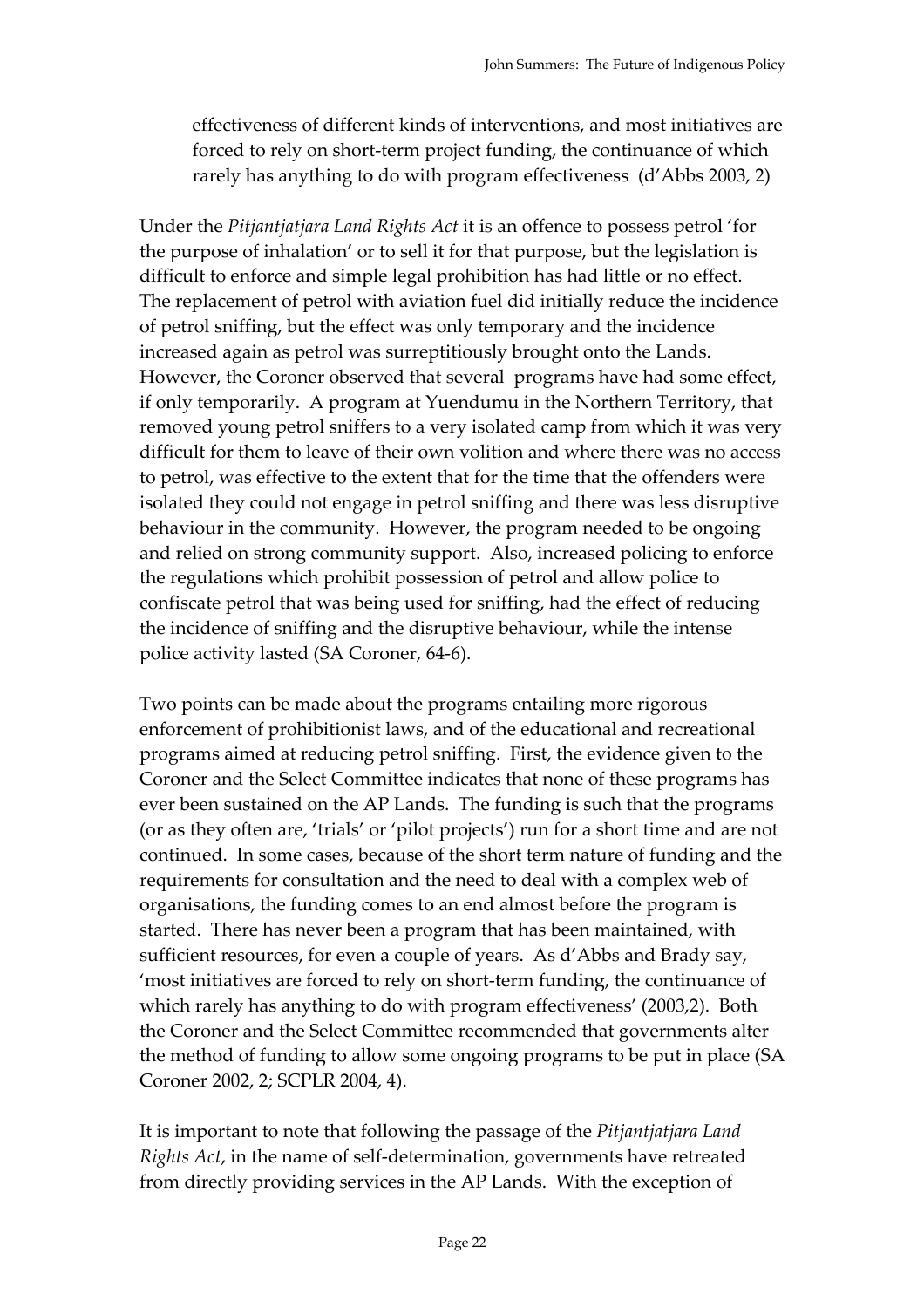effectiveness of different kinds of interventions, and most initiatives are forced to rely on short-term project funding, the continuance of which rarely has anything to do with program effectiveness (d'Abbs 2003, 2)

Under the *Pitjantjatjara Land Rights Act* it is an offence to possess petrol 'for the purpose of inhalation' or to sell it for that purpose, but the legislation is difficult to enforce and simple legal prohibition has had little or no effect. The replacement of petrol with aviation fuel did initially reduce the incidence of petrol sniffing, but the effect was only temporary and the incidence increased again as petrol was surreptitiously brought onto the Lands. However, the Coroner observed that several programs have had some effect, if only temporarily. A program at Yuendumu in the Northern Territory, that removed young petrol sniffers to a very isolated camp from which it was very difficult for them to leave of their own volition and where there was no access to petrol, was effective to the extent that for the time that the offenders were isolated they could not engage in petrol sniffing and there was less disruptive behaviour in the community. However, the program needed to be ongoing and relied on strong community support. Also, increased policing to enforce the regulations which prohibit possession of petrol and allow police to confiscate petrol that was being used for sniffing, had the effect of reducing the incidence of sniffing and the disruptive behaviour, while the intense police activity lasted (SA Coroner, 64-6).

Two points can be made about the programs entailing more rigorous enforcement of prohibitionist laws, and of the educational and recreational programs aimed at reducing petrol sniffing. First, the evidence given to the Coroner and the Select Committee indicates that none of these programs has ever been sustained on the AP Lands. The funding is such that the programs (or as they often are, 'trials' or 'pilot projects') run for a short time and are not continued. In some cases, because of the short term nature of funding and the requirements for consultation and the need to deal with a complex web of organisations, the funding comes to an end almost before the program is started. There has never been a program that has been maintained, with sufficient resources, for even a couple of years. As d'Abbs and Brady say, 'most initiatives are forced to rely on short-term funding, the continuance of which rarely has anything to do with program effectiveness' (2003,2). Both the Coroner and the Select Committee recommended that governments alter the method of funding to allow some ongoing programs to be put in place (SA Coroner 2002, 2; SCPLR 2004, 4).

It is important to note that following the passage of the *Pitjantjatjara Land Rights Act*, in the name of self-determination, governments have retreated from directly providing services in the AP Lands. With the exception of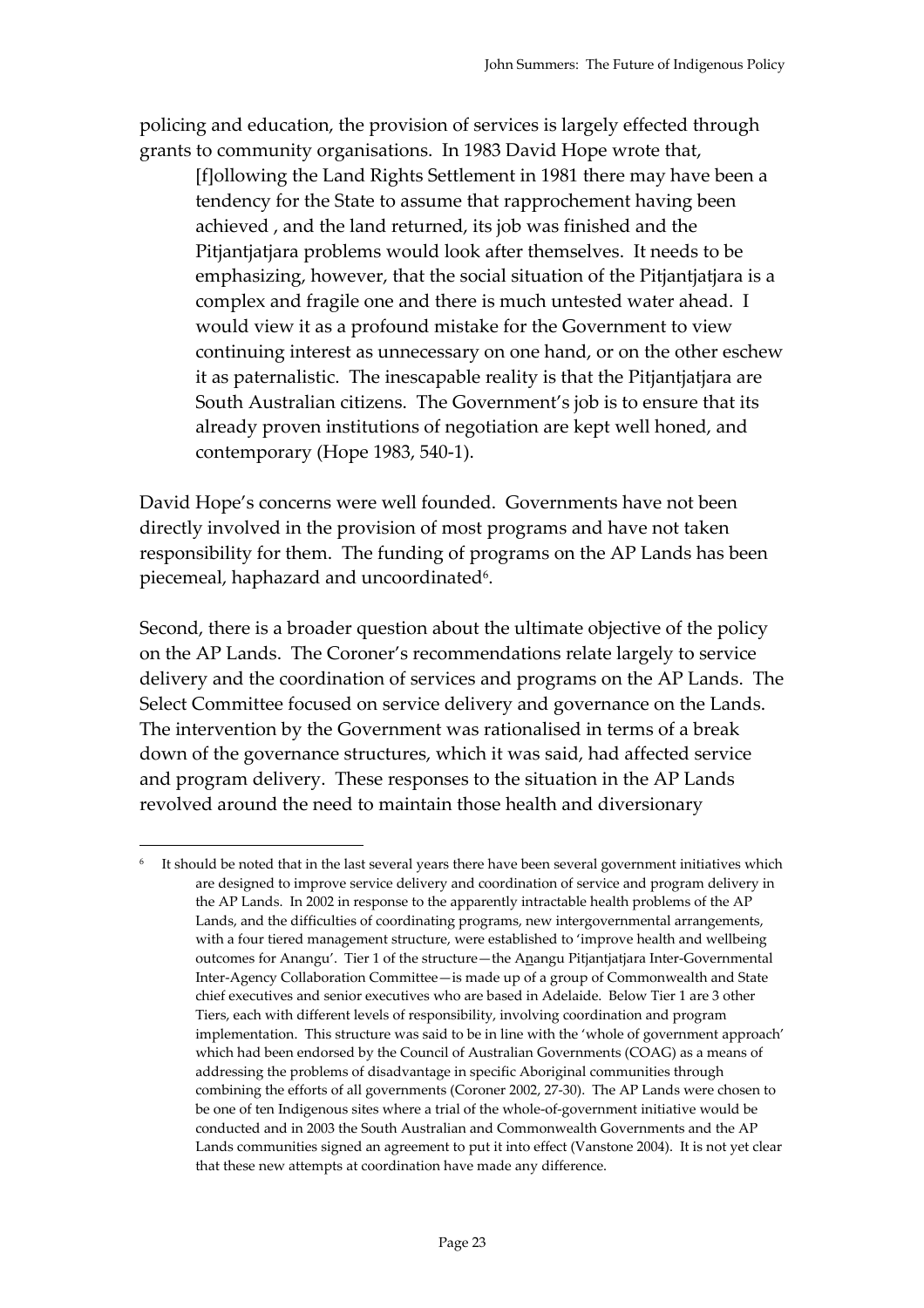policing and education, the provision of services is largely effected through grants to community organisations. In 1983 David Hope wrote that,

[f]ollowing the Land Rights Settlement in 1981 there may have been a tendency for the State to assume that rapprochement having been achieved , and the land returned, its job was finished and the Pitjantjatjara problems would look after themselves. It needs to be emphasizing, however, that the social situation of the Pitjantjatjara is a complex and fragile one and there is much untested water ahead. I would view it as a profound mistake for the Government to view continuing interest as unnecessary on one hand, or on the other eschew it as paternalistic. The inescapable reality is that the Pitjantjatjara are South Australian citizens. The Government's job is to ensure that its already proven institutions of negotiation are kept well honed, and contemporary (Hope 1983, 540-1).

David Hope's concerns were well founded. Governments have not been directly involved in the provision of most programs and have not taken responsibility for them. The funding of programs on the AP Lands has been piecemeal, haphazard and uncoordinated<sup>6</sup>.

Second, there is a broader question about the ultimate objective of the policy on the AP Lands. The Coroner's recommendations relate largely to service delivery and the coordination of services and programs on the AP Lands. The Select Committee focused on service delivery and governance on the Lands. The intervention by the Government was rationalised in terms of a break down of the governance structures, which it was said, had affected service and program delivery. These responses to the situation in the AP Lands revolved around the need to maintain those health and diversionary

 $\overline{a}$ 

<sup>&</sup>lt;sup>6</sup> It should be noted that in the last several years there have been several government initiatives which are designed to improve service delivery and coordination of service and program delivery in the AP Lands. In 2002 in response to the apparently intractable health problems of the AP Lands, and the difficulties of coordinating programs, new intergovernmental arrangements, with a four tiered management structure, were established to 'improve health and wellbeing outcomes for Anangu'. Tier 1 of the structure—the Anangu Pitjantjatjara Inter-Governmental Inter-Agency Collaboration Committee—is made up of a group of Commonwealth and State chief executives and senior executives who are based in Adelaide. Below Tier 1 are 3 other Tiers, each with different levels of responsibility, involving coordination and program implementation. This structure was said to be in line with the 'whole of government approach' which had been endorsed by the Council of Australian Governments (COAG) as a means of addressing the problems of disadvantage in specific Aboriginal communities through combining the efforts of all governments (Coroner 2002, 27-30). The AP Lands were chosen to be one of ten Indigenous sites where a trial of the whole-of-government initiative would be conducted and in 2003 the South Australian and Commonwealth Governments and the AP Lands communities signed an agreement to put it into effect (Vanstone 2004). It is not yet clear that these new attempts at coordination have made any difference.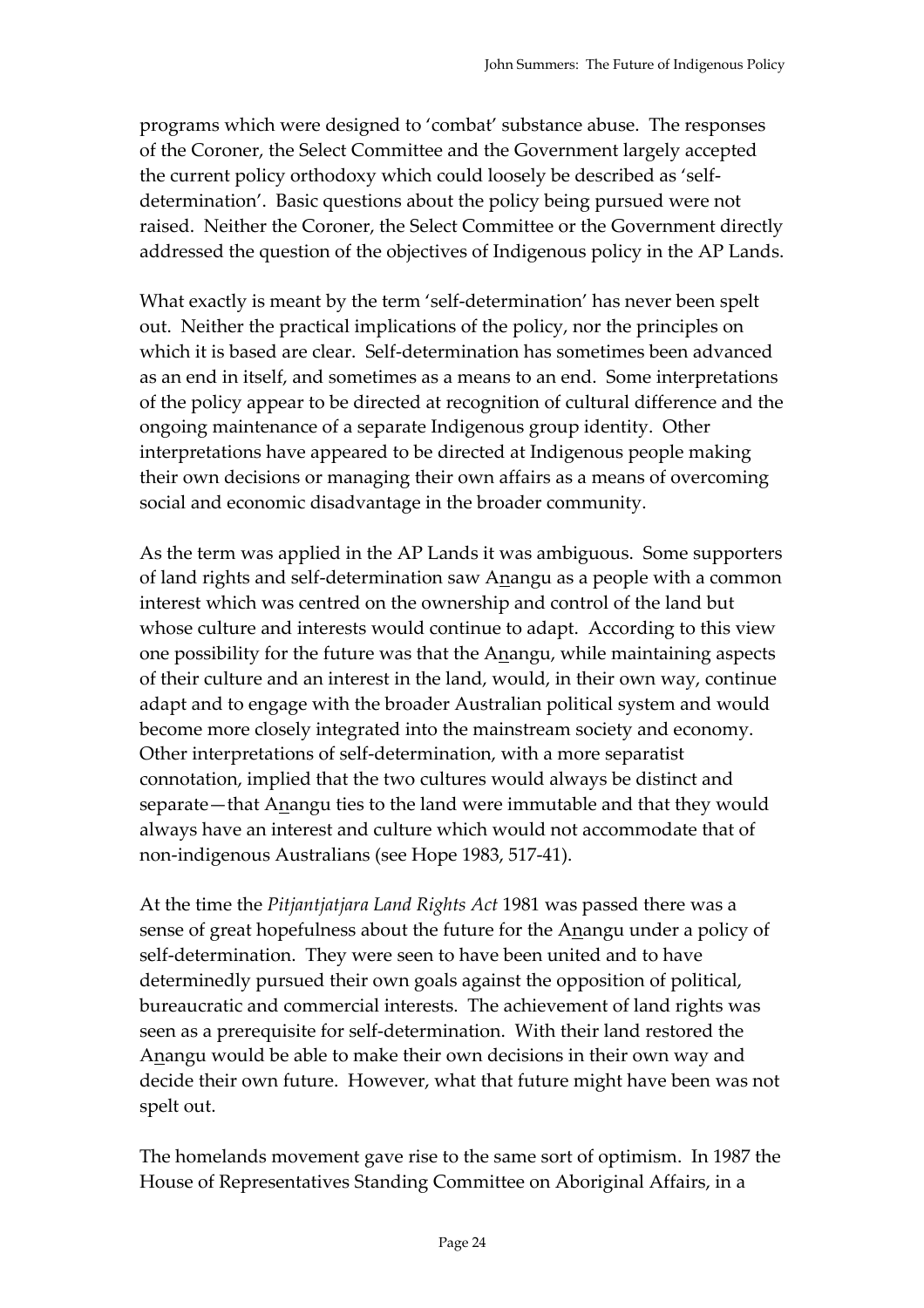programs which were designed to 'combat' substance abuse. The responses of the Coroner, the Select Committee and the Government largely accepted the current policy orthodoxy which could loosely be described as 'selfdetermination'. Basic questions about the policy being pursued were not raised. Neither the Coroner, the Select Committee or the Government directly addressed the question of the objectives of Indigenous policy in the AP Lands.

What exactly is meant by the term 'self-determination' has never been spelt out. Neither the practical implications of the policy, nor the principles on which it is based are clear. Self-determination has sometimes been advanced as an end in itself, and sometimes as a means to an end. Some interpretations of the policy appear to be directed at recognition of cultural difference and the ongoing maintenance of a separate Indigenous group identity. Other interpretations have appeared to be directed at Indigenous people making their own decisions or managing their own affairs as a means of overcoming social and economic disadvantage in the broader community.

As the term was applied in the AP Lands it was ambiguous. Some supporters of land rights and self-determination saw Anangu as a people with a common interest which was centred on the ownership and control of the land but whose culture and interests would continue to adapt. According to this view one possibility for the future was that the Anangu, while maintaining aspects of their culture and an interest in the land, would, in their own way, continue adapt and to engage with the broader Australian political system and would become more closely integrated into the mainstream society and economy. Other interpretations of self-determination, with a more separatist connotation, implied that the two cultures would always be distinct and separate—that Anangu ties to the land were immutable and that they would always have an interest and culture which would not accommodate that of non-indigenous Australians (see Hope 1983, 517-41).

At the time the *Pitjantjatjara Land Rights Act* 1981 was passed there was a sense of great hopefulness about the future for the Anangu under a policy of self-determination. They were seen to have been united and to have determinedly pursued their own goals against the opposition of political, bureaucratic and commercial interests. The achievement of land rights was seen as a prerequisite for self-determination. With their land restored the Anangu would be able to make their own decisions in their own way and decide their own future. However, what that future might have been was not spelt out.

The homelands movement gave rise to the same sort of optimism. In 1987 the House of Representatives Standing Committee on Aboriginal Affairs, in a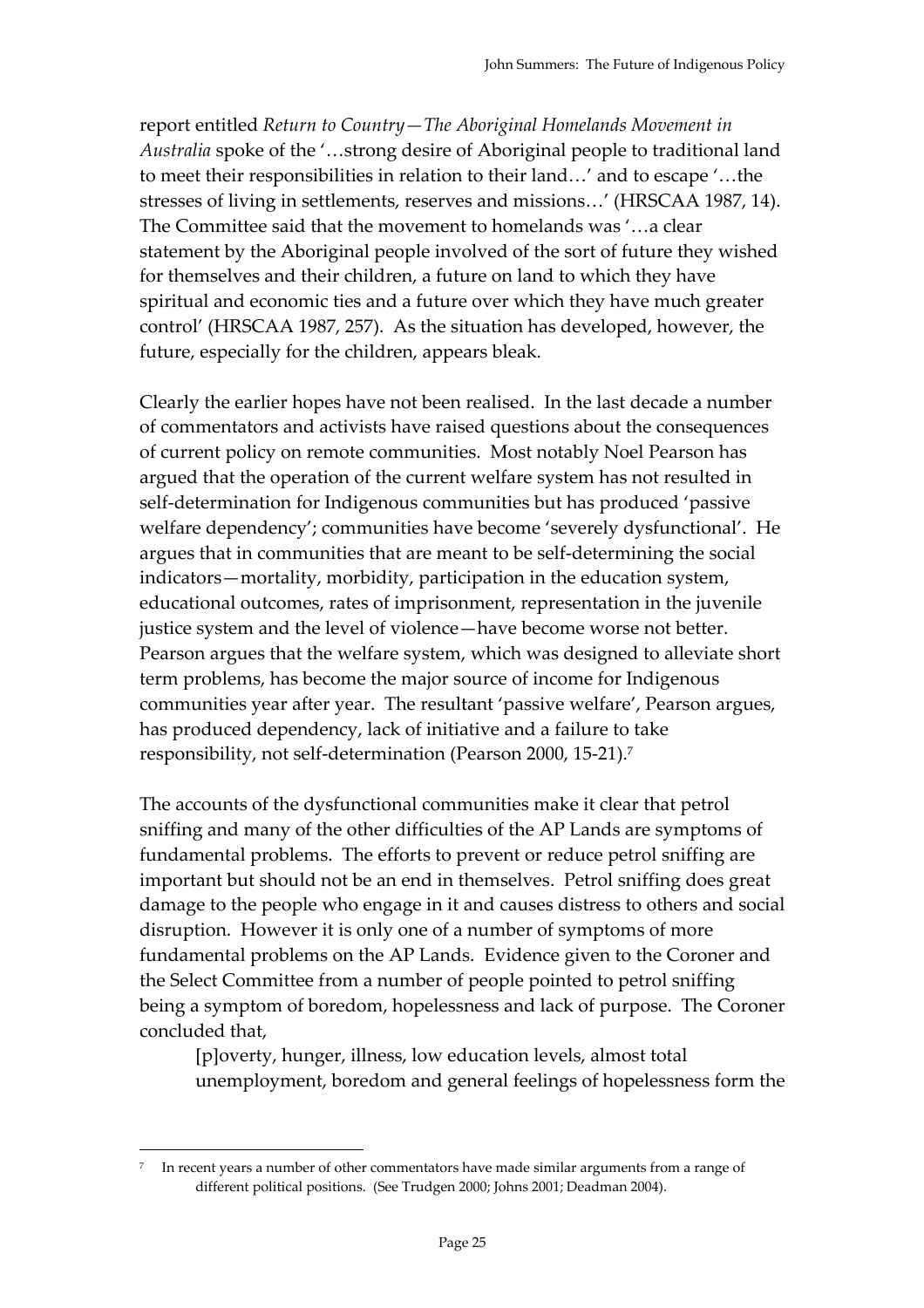report entitled *Return to Country—The Aboriginal Homelands Movement in Australia* spoke of the '…strong desire of Aboriginal people to traditional land to meet their responsibilities in relation to their land…' and to escape '…the stresses of living in settlements, reserves and missions…' (HRSCAA 1987, 14). The Committee said that the movement to homelands was '…a clear statement by the Aboriginal people involved of the sort of future they wished for themselves and their children, a future on land to which they have spiritual and economic ties and a future over which they have much greater control' (HRSCAA 1987, 257). As the situation has developed, however, the future, especially for the children, appears bleak.

Clearly the earlier hopes have not been realised. In the last decade a number of commentators and activists have raised questions about the consequences of current policy on remote communities. Most notably Noel Pearson has argued that the operation of the current welfare system has not resulted in self-determination for Indigenous communities but has produced 'passive welfare dependency'; communities have become 'severely dysfunctional'. He argues that in communities that are meant to be self-determining the social indicators—mortality, morbidity, participation in the education system, educational outcomes, rates of imprisonment, representation in the juvenile justice system and the level of violence—have become worse not better. Pearson argues that the welfare system, which was designed to alleviate short term problems, has become the major source of income for Indigenous communities year after year. The resultant 'passive welfare', Pearson argues, has produced dependency, lack of initiative and a failure to take responsibility, not self-determination (Pearson 2000, 15-21).7

The accounts of the dysfunctional communities make it clear that petrol sniffing and many of the other difficulties of the AP Lands are symptoms of fundamental problems. The efforts to prevent or reduce petrol sniffing are important but should not be an end in themselves. Petrol sniffing does great damage to the people who engage in it and causes distress to others and social disruption. However it is only one of a number of symptoms of more fundamental problems on the AP Lands. Evidence given to the Coroner and the Select Committee from a number of people pointed to petrol sniffing being a symptom of boredom, hopelessness and lack of purpose. The Coroner concluded that,

[p]overty, hunger, illness, low education levels, almost total unemployment, boredom and general feelings of hopelessness form the

 $\overline{a}$ 

In recent years a number of other commentators have made similar arguments from a range of different political positions. (See Trudgen 2000; Johns 2001; Deadman 2004).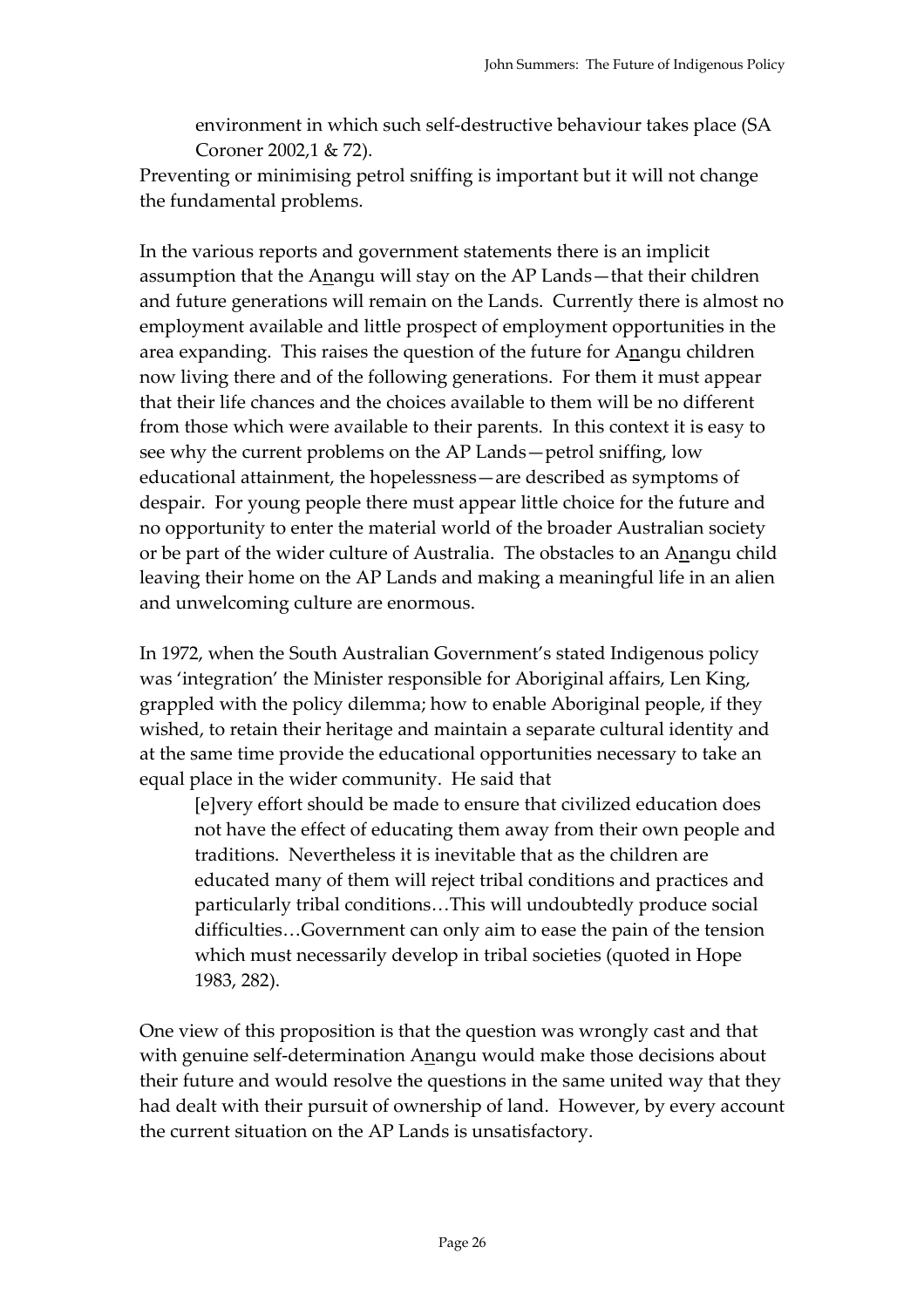environment in which such self-destructive behaviour takes place (SA Coroner 2002,1 & 72).

Preventing or minimising petrol sniffing is important but it will not change the fundamental problems.

In the various reports and government statements there is an implicit assumption that the Anangu will stay on the AP Lands—that their children and future generations will remain on the Lands. Currently there is almost no employment available and little prospect of employment opportunities in the area expanding. This raises the question of the future for Anangu children now living there and of the following generations. For them it must appear that their life chances and the choices available to them will be no different from those which were available to their parents. In this context it is easy to see why the current problems on the AP Lands—petrol sniffing, low educational attainment, the hopelessness—are described as symptoms of despair. For young people there must appear little choice for the future and no opportunity to enter the material world of the broader Australian society or be part of the wider culture of Australia. The obstacles to an Anangu child leaving their home on the AP Lands and making a meaningful life in an alien and unwelcoming culture are enormous.

In 1972, when the South Australian Government's stated Indigenous policy was 'integration' the Minister responsible for Aboriginal affairs, Len King, grappled with the policy dilemma; how to enable Aboriginal people, if they wished, to retain their heritage and maintain a separate cultural identity and at the same time provide the educational opportunities necessary to take an equal place in the wider community. He said that

[e]very effort should be made to ensure that civilized education does not have the effect of educating them away from their own people and traditions. Nevertheless it is inevitable that as the children are educated many of them will reject tribal conditions and practices and particularly tribal conditions…This will undoubtedly produce social difficulties…Government can only aim to ease the pain of the tension which must necessarily develop in tribal societies (quoted in Hope 1983, 282).

One view of this proposition is that the question was wrongly cast and that with genuine self-determination Anangu would make those decisions about their future and would resolve the questions in the same united way that they had dealt with their pursuit of ownership of land. However, by every account the current situation on the AP Lands is unsatisfactory.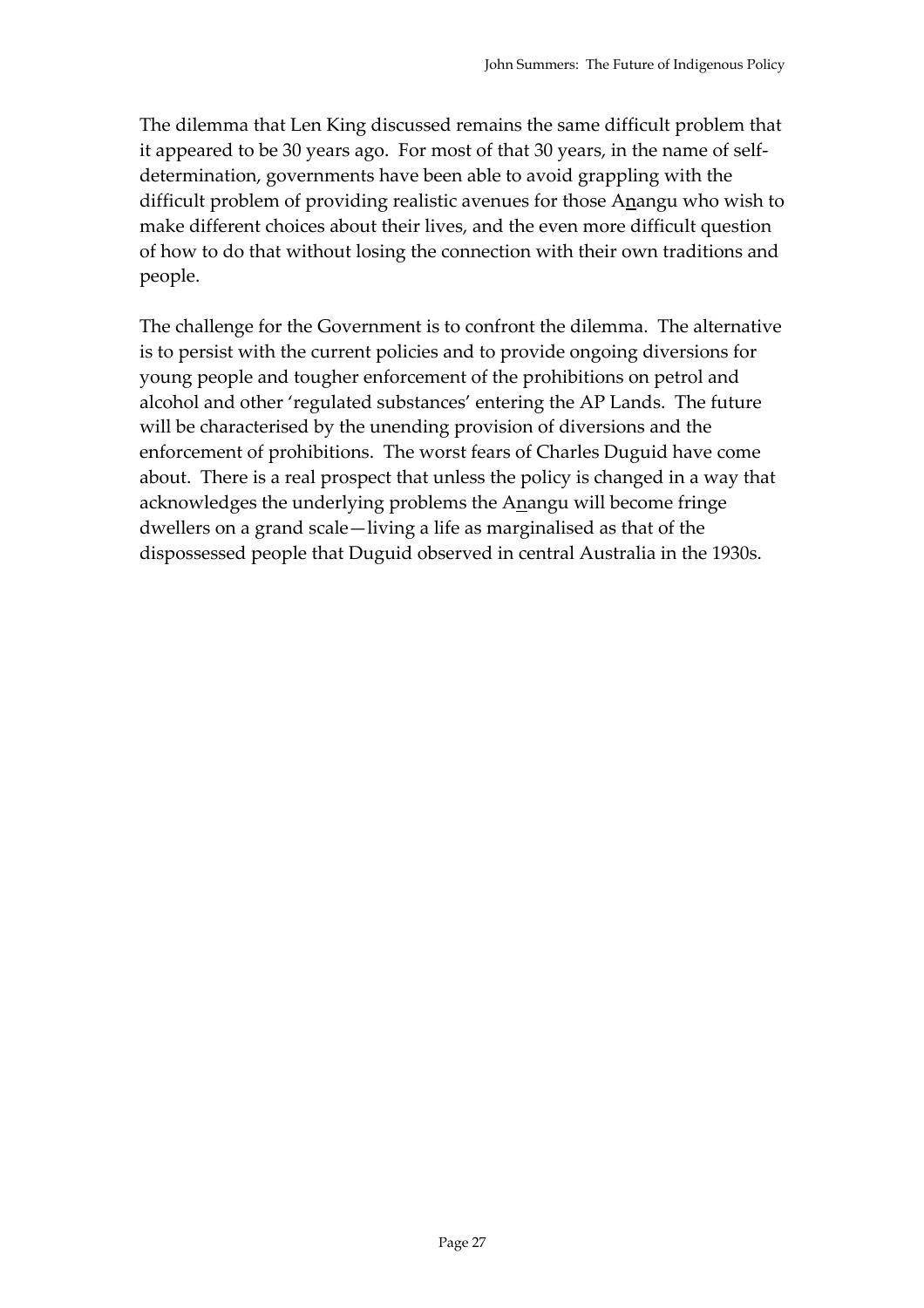The dilemma that Len King discussed remains the same difficult problem that it appeared to be 30 years ago. For most of that 30 years, in the name of selfdetermination, governments have been able to avoid grappling with the difficult problem of providing realistic avenues for those Anangu who wish to make different choices about their lives, and the even more difficult question of how to do that without losing the connection with their own traditions and people.

The challenge for the Government is to confront the dilemma. The alternative is to persist with the current policies and to provide ongoing diversions for young people and tougher enforcement of the prohibitions on petrol and alcohol and other 'regulated substances' entering the AP Lands. The future will be characterised by the unending provision of diversions and the enforcement of prohibitions. The worst fears of Charles Duguid have come about. There is a real prospect that unless the policy is changed in a way that acknowledges the underlying problems the Anangu will become fringe dwellers on a grand scale—living a life as marginalised as that of the dispossessed people that Duguid observed in central Australia in the 1930s.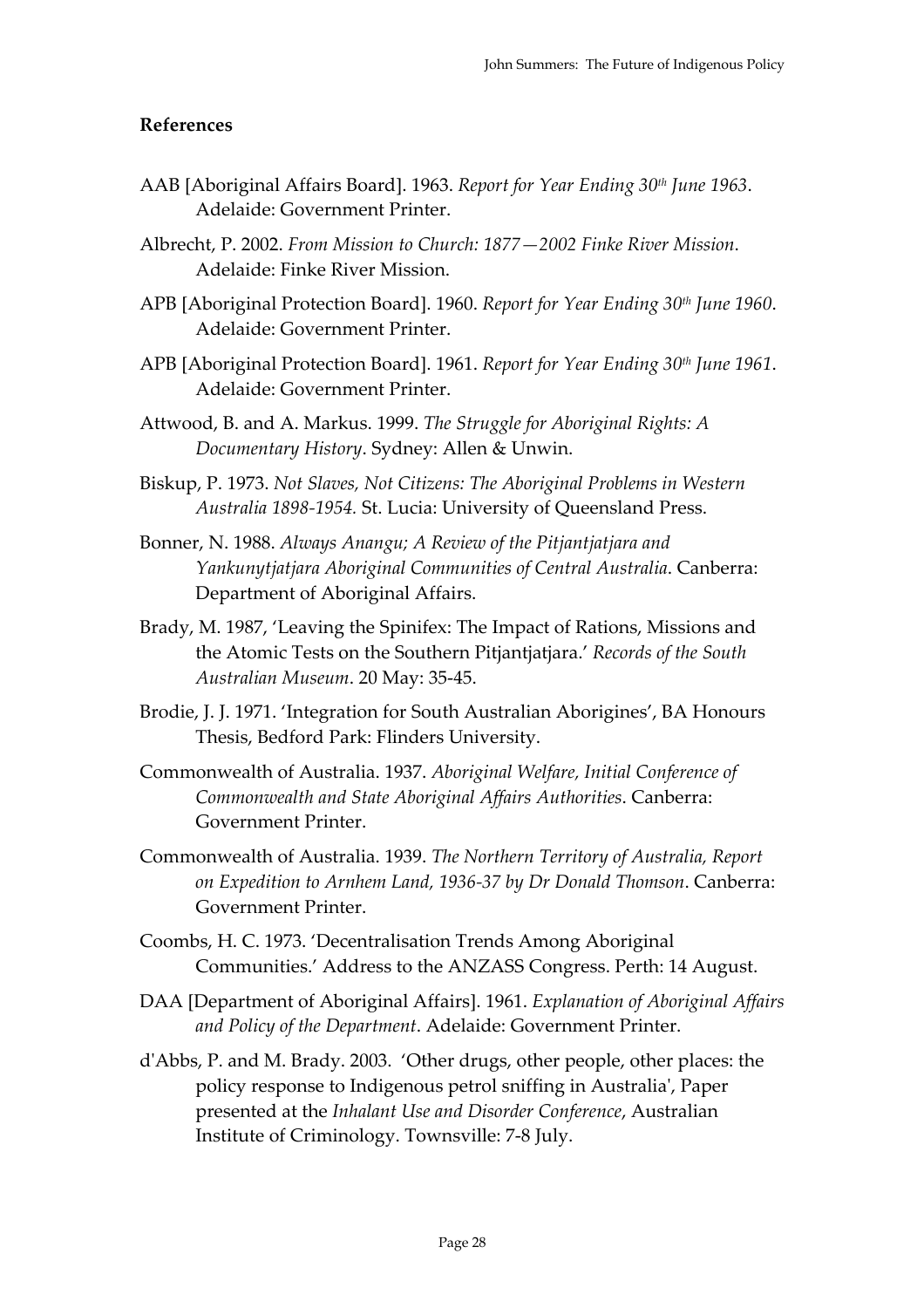#### **References**

- AAB [Aboriginal Affairs Board]. 1963. *Report for Year Ending 30th June 1963*. Adelaide: Government Printer.
- Albrecht, P. 2002. *From Mission to Church: 1877—2002 Finke River Mission*. Adelaide: Finke River Mission.
- APB [Aboriginal Protection Board]. 1960. *Report for Year Ending 30th June 1960*. Adelaide: Government Printer.
- APB [Aboriginal Protection Board]. 1961. *Report for Year Ending 30th June 1961*. Adelaide: Government Printer.
- Attwood, B. and A. Markus. 1999. *The Struggle for Aboriginal Rights: A Documentary History*. Sydney: Allen & Unwin.
- Biskup, P. 1973. *Not Slaves, Not Citizens: The Aboriginal Problems in Western Australia 1898-1954.* St. Lucia: University of Queensland Press.
- Bonner, N. 1988. *Always Anangu; A Review of the Pitjantjatjara and Yankunytjatjara Aboriginal Communities of Central Australia*. Canberra: Department of Aboriginal Affairs.
- Brady, M. 1987, 'Leaving the Spinifex: The Impact of Rations, Missions and the Atomic Tests on the Southern Pitjantjatjara.' *Records of the South Australian Museum*. 20 May: 35-45.
- Brodie, J. J. 1971. 'Integration for South Australian Aborigines', BA Honours Thesis, Bedford Park: Flinders University.
- Commonwealth of Australia. 1937. *Aboriginal Welfare, Initial Conference of Commonwealth and State Aboriginal Affairs Authorities*. Canberra: Government Printer.
- Commonwealth of Australia. 1939. *The Northern Territory of Australia, Report on Expedition to Arnhem Land, 1936-37 by Dr Donald Thomson*. Canberra: Government Printer.
- Coombs, H. C. 1973. 'Decentralisation Trends Among Aboriginal Communities.' Address to the ANZASS Congress. Perth: 14 August.
- DAA [Department of Aboriginal Affairs]. 1961. *Explanation of Aboriginal Affairs and Policy of the Department*. Adelaide: Government Printer.
- d'Abbs, P. and M. Brady. 2003. 'Other drugs, other people, other places: the policy response to Indigenous petrol sniffing in Australia', Paper presented at the *Inhalant Use and Disorder Conference*, Australian Institute of Criminology. Townsville: 7-8 July.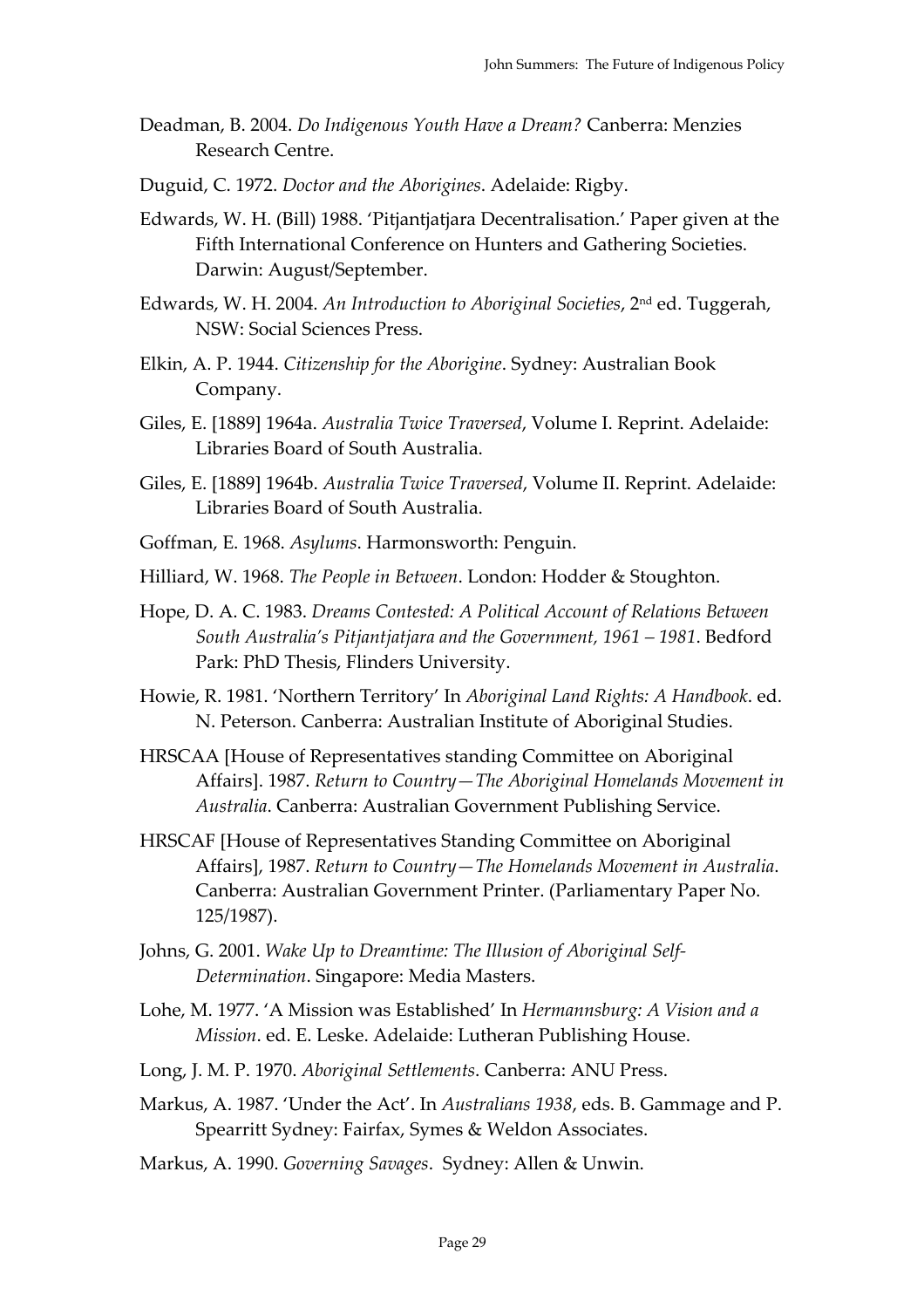- Deadman, B. 2004. *Do Indigenous Youth Have a Dream?* Canberra: Menzies Research Centre.
- Duguid, C. 1972. *Doctor and the Aborigines*. Adelaide: Rigby.
- Edwards, W. H. (Bill) 1988. 'Pitjantjatjara Decentralisation.' Paper given at the Fifth International Conference on Hunters and Gathering Societies. Darwin: August/September.
- Edwards, W. H. 2004. *An Introduction to Aboriginal Societies*, 2nd ed. Tuggerah, NSW: Social Sciences Press.
- Elkin, A. P. 1944. *Citizenship for the Aborigine*. Sydney: Australian Book Company.
- Giles, E. [1889] 1964a. *Australia Twice Traversed*, Volume I. Reprint. Adelaide: Libraries Board of South Australia.
- Giles, E. [1889] 1964b. *Australia Twice Traversed*, Volume II. Reprint. Adelaide: Libraries Board of South Australia.
- Goffman, E. 1968. *Asylums*. Harmonsworth: Penguin.
- Hilliard, W. 1968. *The People in Between*. London: Hodder & Stoughton.
- Hope, D. A. C. 1983. *Dreams Contested: A Political Account of Relations Between South Australia's Pitjantjatjara and the Government, 1961 – 1981*. Bedford Park: PhD Thesis, Flinders University.
- Howie, R. 1981. 'Northern Territory' In *Aboriginal Land Rights: A Handbook*. ed. N. Peterson. Canberra: Australian Institute of Aboriginal Studies.
- HRSCAA [House of Representatives standing Committee on Aboriginal Affairs]. 1987. *Return to Country—The Aboriginal Homelands Movement in Australia*. Canberra: Australian Government Publishing Service.
- HRSCAF [House of Representatives Standing Committee on Aboriginal Affairs], 1987. *Return to Country—The Homelands Movement in Australia*. Canberra: Australian Government Printer. (Parliamentary Paper No. 125/1987).
- Johns, G. 2001. *Wake Up to Dreamtime: The Illusion of Aboriginal Self-Determination*. Singapore: Media Masters.
- Lohe, M. 1977. 'A Mission was Established' In *Hermannsburg: A Vision and a Mission*. ed. E. Leske. Adelaide: Lutheran Publishing House.
- Long, J. M. P. 1970. *Aboriginal Settlements*. Canberra: ANU Press.
- Markus, A. 1987. 'Under the Act'. In *Australians 1938*, eds. B. Gammage and P. Spearritt Sydney: Fairfax, Symes & Weldon Associates.
- Markus, A. 1990. *Governing Savages*. Sydney: Allen & Unwin.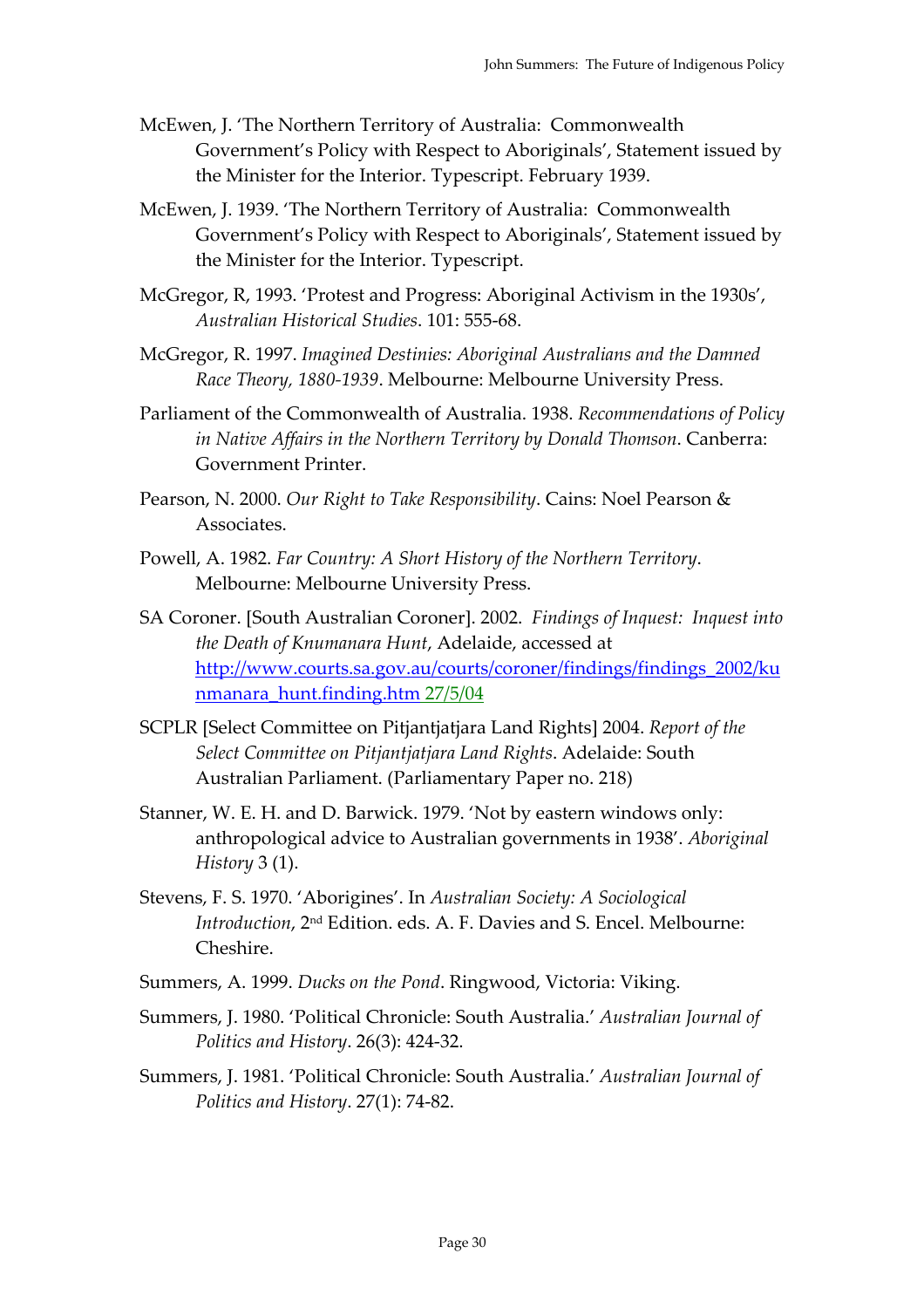- McEwen, J. 'The Northern Territory of Australia: Commonwealth Government's Policy with Respect to Aboriginals', Statement issued by the Minister for the Interior. Typescript. February 1939.
- McEwen, J. 1939. 'The Northern Territory of Australia: Commonwealth Government's Policy with Respect to Aboriginals', Statement issued by the Minister for the Interior. Typescript.
- McGregor, R, 1993. 'Protest and Progress: Aboriginal Activism in the 1930s', *Australian Historical Studies*. 101: 555-68.
- McGregor, R. 1997. *Imagined Destinies: Aboriginal Australians and the Damned Race Theory, 1880-1939*. Melbourne: Melbourne University Press.
- Parliament of the Commonwealth of Australia. 1938. *Recommendations of Policy in Native Affairs in the Northern Territory by Donald Thomson*. Canberra: Government Printer.
- Pearson, N. 2000. *Our Right to Take Responsibility*. Cains: Noel Pearson & Associates.
- Powell, A. 1982. *Far Country: A Short History of the Northern Territory*. Melbourne: Melbourne University Press.
- SA Coroner. [South Australian Coroner]. 2002. *Findings of Inquest: Inquest into the Death of Knumanara Hunt*, Adelaide, accessed at http://www.courts.sa.gov.au/courts/coroner/findings/findings\_2002/ku nmanara\_hunt.finding.htm 27/5/04
- SCPLR [Select Committee on Pitjantjatjara Land Rights] 2004. *Report of the Select Committee on Pitjantjatjara Land Rights*. Adelaide: South Australian Parliament. (Parliamentary Paper no. 218)
- Stanner, W. E. H. and D. Barwick. 1979. 'Not by eastern windows only: anthropological advice to Australian governments in 1938'. *Aboriginal History* 3 (1).
- Stevens, F. S. 1970. 'Aborigines'. In *Australian Society: A Sociological Introduction*, 2nd Edition. eds. A. F. Davies and S. Encel. Melbourne: Cheshire.
- Summers, A. 1999. *Ducks on the Pond*. Ringwood, Victoria: Viking.
- Summers, J. 1980. 'Political Chronicle: South Australia.' *Australian Journal of Politics and History*. 26(3): 424-32.
- Summers, J. 1981. 'Political Chronicle: South Australia.' *Australian Journal of Politics and History*. 27(1): 74-82.